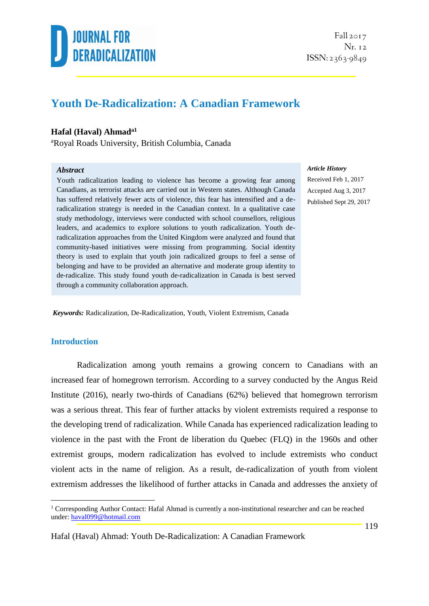

 $Fall 2017$ Nr. 12  $ISSN: 2363-9849$ 

## **Youth De-Radicalization: A Canadian Framework**

### **Hafal (Haval) Ahmada1**

<sup>a</sup>Royal Roads University, British Columbia, Canada

#### *Abstract*

Youth radicalization leading to violence has become a growing fear among Canadians, as terrorist attacks are carried out in Western states. Although Canada has suffered relatively fewer acts of violence, this fear has intensified and a deradicalization strategy is needed in the Canadian context. In a qualitative case study methodology, interviews were conducted with school counsellors, religious leaders, and academics to explore solutions to youth radicalization. Youth deradicalization approaches from the United Kingdom were analyzed and found that community-based initiatives were missing from programming. Social identity theory is used to explain that youth join radicalized groups to feel a sense of belonging and have to be provided an alternative and moderate group identity to de-radicalize. This study found youth de-radicalization in Canada is best served through a community collaboration approach.

*Article History*

Received Feb 1, 2017 Accepted Aug 3, 2017 Published Sept 29, 2017

*Keywords:* Radicalization, De-Radicalization, Youth, Violent Extremism, Canada

#### **Introduction**

1

Radicalization among youth remains a growing concern to Canadians with an increased fear of homegrown terrorism. According to a survey conducted by the Angus Reid Institute (2016), nearly two-thirds of Canadians (62%) believed that homegrown terrorism was a serious threat. This fear of further attacks by violent extremists required a response to the developing trend of radicalization. While Canada has experienced radicalization leading to violence in the past with the Front de liberation du Quebec (FLQ) in the 1960s and other extremist groups, modern radicalization has evolved to include extremists who conduct violent acts in the name of religion. As a result, de-radicalization of youth from violent extremism addresses the likelihood of further attacks in Canada and addresses the anxiety of

<sup>&</sup>lt;sup>1</sup> Corresponding Author Contact: Hafal Ahmad is currently a non-institutional researcher and can be reached under: [haval099@hotmail.com](mailto:haval099@hotmail.com)

Hafal (Haval) Ahmad: Youth De-Radicalization: A Canadian Framework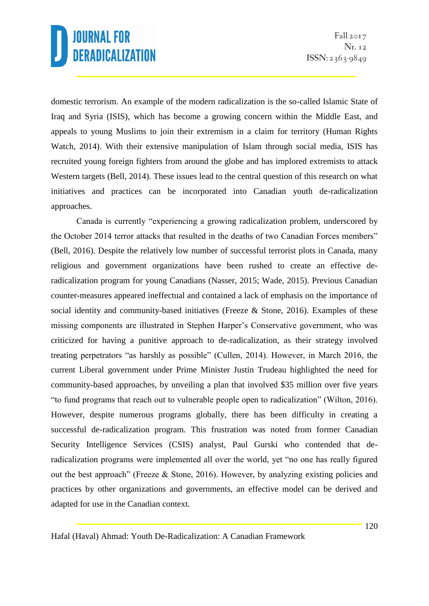domestic terrorism. An example of the modern radicalization is the so-called Islamic State of Iraq and Syria (ISIS), which has become a growing concern within the Middle East, and appeals to young Muslims to join their extremism in a claim for territory (Human Rights Watch, 2014). With their extensive manipulation of Islam through social media, ISIS has recruited young foreign fighters from around the globe and has implored extremists to attack Western targets (Bell, 2014). These issues lead to the central question of this research on what initiatives and practices can be incorporated into Canadian youth de-radicalization approaches.

Canada is currently "experiencing a growing radicalization problem, underscored by the October 2014 terror attacks that resulted in the deaths of two Canadian Forces members" (Bell, 2016). Despite the relatively low number of successful terrorist plots in Canada, many religious and government organizations have been rushed to create an effective deradicalization program for young Canadians (Nasser, 2015; Wade, 2015). Previous Canadian counter-measures appeared ineffectual and contained a lack of emphasis on the importance of social identity and community-based initiatives (Freeze & Stone, 2016). Examples of these missing components are illustrated in Stephen Harper's Conservative government, who was criticized for having a punitive approach to de-radicalization, as their strategy involved treating perpetrators "as harshly as possible" (Cullen, 2014). However, in March 2016, the current Liberal government under Prime Minister Justin Trudeau highlighted the need for community-based approaches, by unveiling a plan that involved \$35 million over five years "to fund programs that reach out to vulnerable people open to radicalization" (Wilton, 2016). However, despite numerous programs globally, there has been difficulty in creating a successful de-radicalization program. This frustration was noted from former Canadian Security Intelligence Services (CSIS) analyst, Paul Gurski who contended that deradicalization programs were implemented all over the world, yet "no one has really figured out the best approach" (Freeze & Stone, 2016). However, by analyzing existing policies and practices by other organizations and governments, an effective model can be derived and adapted for use in the Canadian context.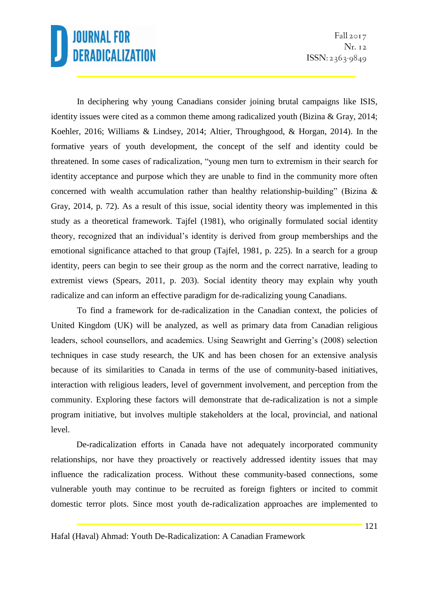In deciphering why young Canadians consider joining brutal campaigns like ISIS, identity issues were cited as a common theme among radicalized youth (Bizina & Gray, 2014; Koehler, 2016; Williams & Lindsey, 2014; Altier, Throughgood, & Horgan, 2014). In the formative years of youth development, the concept of the self and identity could be threatened. In some cases of radicalization, "young men turn to extremism in their search for identity acceptance and purpose which they are unable to find in the community more often concerned with wealth accumulation rather than healthy relationship-building" (Bizina & Gray, 2014, p. 72). As a result of this issue, social identity theory was implemented in this study as a theoretical framework. Tajfel (1981), who originally formulated social identity theory, recognized that an individual's identity is derived from group memberships and the emotional significance attached to that group (Tajfel, 1981, p. 225). In a search for a group identity, peers can begin to see their group as the norm and the correct narrative, leading to extremist views (Spears, 2011, p. 203). Social identity theory may explain why youth radicalize and can inform an effective paradigm for de-radicalizing young Canadians.

To find a framework for de-radicalization in the Canadian context, the policies of United Kingdom (UK) will be analyzed, as well as primary data from Canadian religious leaders, school counsellors, and academics. Using Seawright and Gerring's (2008) selection techniques in case study research, the UK and has been chosen for an extensive analysis because of its similarities to Canada in terms of the use of community-based initiatives, interaction with religious leaders, level of government involvement, and perception from the community. Exploring these factors will demonstrate that de-radicalization is not a simple program initiative, but involves multiple stakeholders at the local, provincial, and national level.

De-radicalization efforts in Canada have not adequately incorporated community relationships, nor have they proactively or reactively addressed identity issues that may influence the radicalization process. Without these community-based connections, some vulnerable youth may continue to be recruited as foreign fighters or incited to commit domestic terror plots. Since most youth de-radicalization approaches are implemented to

Hafal (Haval) Ahmad: Youth De-Radicalization: A Canadian Framework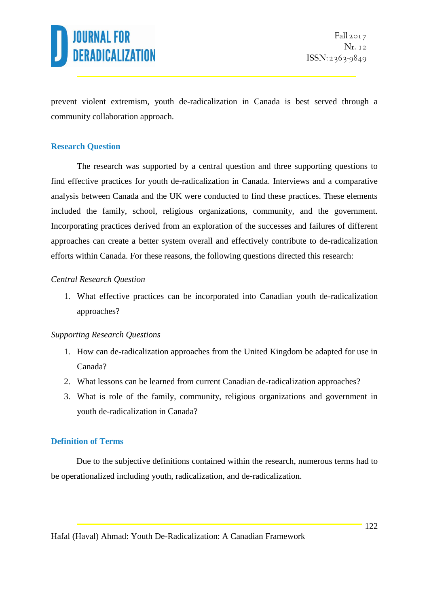

prevent violent extremism, youth de-radicalization in Canada is best served through a community collaboration approach.

### **Research Question**

The research was supported by a central question and three supporting questions to find effective practices for youth de-radicalization in Canada. Interviews and a comparative analysis between Canada and the UK were conducted to find these practices. These elements included the family, school, religious organizations, community, and the government. Incorporating practices derived from an exploration of the successes and failures of different approaches can create a better system overall and effectively contribute to de-radicalization efforts within Canada. For these reasons, the following questions directed this research:

#### *Central Research Question*

1. What effective practices can be incorporated into Canadian youth de-radicalization approaches?

#### *Supporting Research Questions*

- 1. How can de-radicalization approaches from the United Kingdom be adapted for use in Canada?
- 2. What lessons can be learned from current Canadian de-radicalization approaches?
- 3. What is role of the family, community, religious organizations and government in youth de-radicalization in Canada?

### **Definition of Terms**

Due to the subjective definitions contained within the research, numerous terms had to be operationalized including youth, radicalization, and de-radicalization.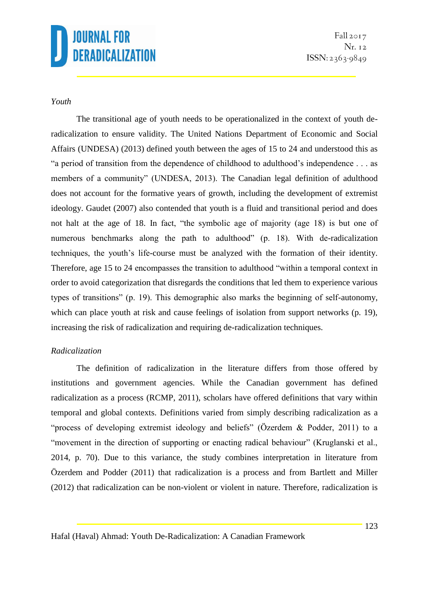Fall  $2017$ Nr. 12  $ISSN: 2363-9849$ 

### *Youth*

The transitional age of youth needs to be operationalized in the context of youth deradicalization to ensure validity. The United Nations Department of Economic and Social Affairs (UNDESA) (2013) defined youth between the ages of 15 to 24 and understood this as "a period of transition from the dependence of childhood to adulthood's independence . . . as members of a community" (UNDESA, 2013). The Canadian legal definition of adulthood does not account for the formative years of growth, including the development of extremist ideology. Gaudet (2007) also contended that youth is a fluid and transitional period and does not halt at the age of 18. In fact, "the symbolic age of majority (age 18) is but one of numerous benchmarks along the path to adulthood" (p. 18). With de-radicalization techniques, the youth's life-course must be analyzed with the formation of their identity. Therefore, age 15 to 24 encompasses the transition to adulthood "within a temporal context in order to avoid categorization that disregards the conditions that led them to experience various types of transitions" (p. 19). This demographic also marks the beginning of self-autonomy, which can place youth at risk and cause feelings of isolation from support networks (p. 19), increasing the risk of radicalization and requiring de-radicalization techniques.

### *Radicalization*

The definition of radicalization in the literature differs from those offered by institutions and government agencies. While the Canadian government has defined radicalization as a process (RCMP, 2011), scholars have offered definitions that vary within temporal and global contexts. Definitions varied from simply describing radicalization as a "process of developing extremist ideology and beliefs" (Özerdem & Podder, 2011) to a "movement in the direction of supporting or enacting radical behaviour" (Kruglanski et al., 2014, p. 70). Due to this variance, the study combines interpretation in literature from Özerdem and Podder (2011) that radicalization is a process and from Bartlett and Miller (2012) that radicalization can be non-violent or violent in nature. Therefore, radicalization is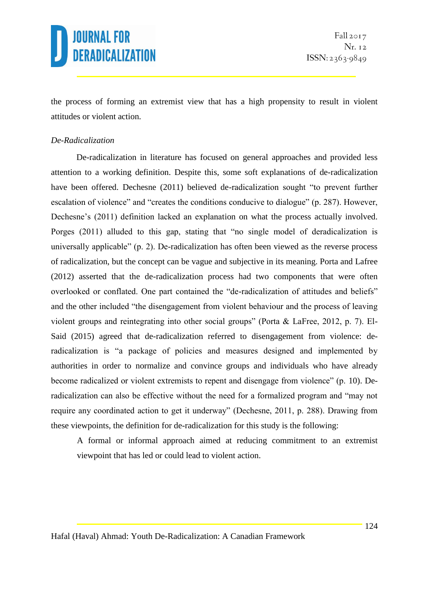the process of forming an extremist view that has a high propensity to result in violent attitudes or violent action.

## *De-Radicalization*

De-radicalization in literature has focused on general approaches and provided less attention to a working definition. Despite this, some soft explanations of de-radicalization have been offered. Dechesne (2011) believed de-radicalization sought "to prevent further escalation of violence" and "creates the conditions conducive to dialogue" (p. 287). However, Dechesne's (2011) definition lacked an explanation on what the process actually involved. Porges (2011) alluded to this gap, stating that "no single model of deradicalization is universally applicable" (p. 2). De-radicalization has often been viewed as the reverse process of radicalization, but the concept can be vague and subjective in its meaning. Porta and Lafree (2012) asserted that the de-radicalization process had two components that were often overlooked or conflated. One part contained the "de-radicalization of attitudes and beliefs" and the other included "the disengagement from violent behaviour and the process of leaving violent groups and reintegrating into other social groups" (Porta & LaFree, 2012, p. 7). El-Said (2015) agreed that de-radicalization referred to disengagement from violence: deradicalization is "a package of policies and measures designed and implemented by authorities in order to normalize and convince groups and individuals who have already become radicalized or violent extremists to repent and disengage from violence" (p. 10). Deradicalization can also be effective without the need for a formalized program and "may not require any coordinated action to get it underway" (Dechesne, 2011, p. 288). Drawing from these viewpoints, the definition for de-radicalization for this study is the following:

A formal or informal approach aimed at reducing commitment to an extremist viewpoint that has led or could lead to violent action.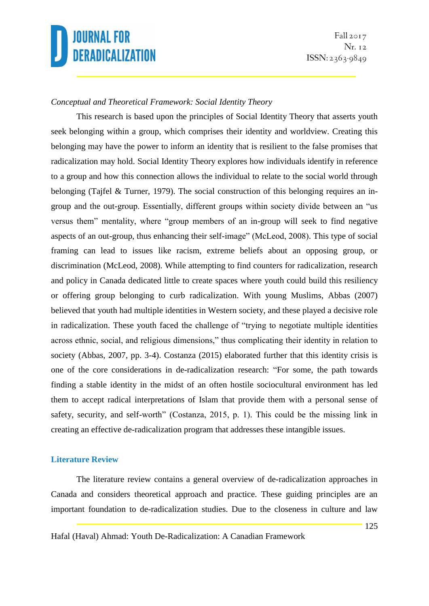## *Conceptual and Theoretical Framework: Social Identity Theory*

This research is based upon the principles of Social Identity Theory that asserts youth seek belonging within a group, which comprises their identity and worldview. Creating this belonging may have the power to inform an identity that is resilient to the false promises that radicalization may hold. Social Identity Theory explores how individuals identify in reference to a group and how this connection allows the individual to relate to the social world through belonging (Tajfel & Turner, 1979). The social construction of this belonging requires an ingroup and the out-group. Essentially, different groups within society divide between an "us versus them" mentality, where "group members of an in-group will seek to find negative aspects of an out-group, thus enhancing their self-image" (McLeod, 2008). This type of social framing can lead to issues like racism, extreme beliefs about an opposing group, or discrimination (McLeod, 2008). While attempting to find counters for radicalization, research and policy in Canada dedicated little to create spaces where youth could build this resiliency or offering group belonging to curb radicalization. With young Muslims, Abbas (2007) believed that youth had multiple identities in Western society, and these played a decisive role in radicalization. These youth faced the challenge of "trying to negotiate multiple identities across ethnic, social, and religious dimensions," thus complicating their identity in relation to society (Abbas, 2007, pp. 3-4). Costanza (2015) elaborated further that this identity crisis is one of the core considerations in de-radicalization research: "For some, the path towards finding a stable identity in the midst of an often hostile sociocultural environment has led them to accept radical interpretations of Islam that provide them with a personal sense of safety, security, and self-worth" (Costanza, 2015, p. 1). This could be the missing link in creating an effective de-radicalization program that addresses these intangible issues.

#### **Literature Review**

The literature review contains a general overview of de-radicalization approaches in Canada and considers theoretical approach and practice. These guiding principles are an important foundation to de-radicalization studies. Due to the closeness in culture and law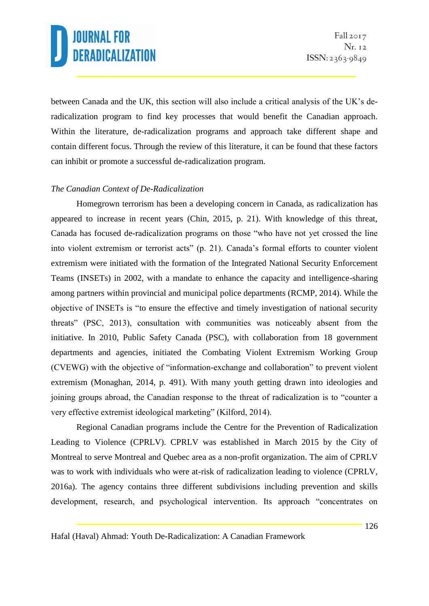between Canada and the UK, this section will also include a critical analysis of the UK's deradicalization program to find key processes that would benefit the Canadian approach. Within the literature, de-radicalization programs and approach take different shape and contain different focus. Through the review of this literature, it can be found that these factors can inhibit or promote a successful de-radicalization program.

## *The Canadian Context of De-Radicalization*

Homegrown terrorism has been a developing concern in Canada, as radicalization has appeared to increase in recent years (Chin, 2015, p. 21). With knowledge of this threat, Canada has focused de-radicalization programs on those "who have not yet crossed the line into violent extremism or terrorist acts" (p. 21). Canada's formal efforts to counter violent extremism were initiated with the formation of the Integrated National Security Enforcement Teams (INSETs) in 2002, with a mandate to enhance the capacity and intelligence-sharing among partners within provincial and municipal police departments (RCMP, 2014). While the objective of INSETs is "to ensure the effective and timely investigation of national security threats" (PSC, 2013), consultation with communities was noticeably absent from the initiative. In 2010, Public Safety Canada (PSC), with collaboration from 18 government departments and agencies, initiated the Combating Violent Extremism Working Group (CVEWG) with the objective of "information-exchange and collaboration" to prevent violent extremism (Monaghan, 2014, p. 491). With many youth getting drawn into ideologies and joining groups abroad, the Canadian response to the threat of radicalization is to "counter a very effective extremist ideological marketing" (Kilford, 2014).

Regional Canadian programs include the Centre for the Prevention of Radicalization Leading to Violence (CPRLV). CPRLV was established in March 2015 by the City of Montreal to serve Montreal and Quebec area as a non-profit organization. The aim of CPRLV was to work with individuals who were at-risk of radicalization leading to violence (CPRLV, 2016a). The agency contains three different subdivisions including prevention and skills development, research, and psychological intervention. Its approach "concentrates on

Hafal (Haval) Ahmad: Youth De-Radicalization: A Canadian Framework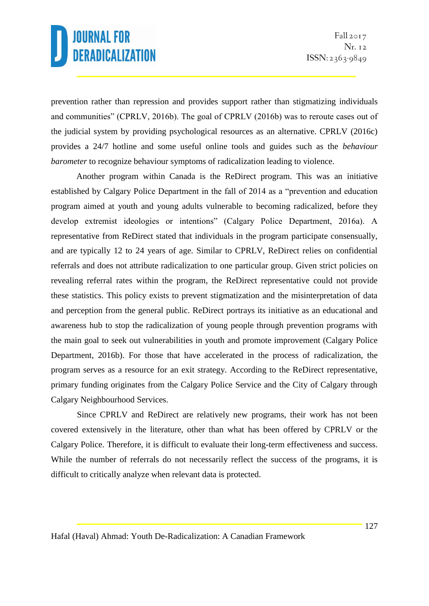prevention rather than repression and provides support rather than stigmatizing individuals and communities" (CPRLV, 2016b). The goal of CPRLV (2016b) was to reroute cases out of the judicial system by providing psychological resources as an alternative. CPRLV (2016c) provides a 24/7 hotline and some useful online tools and guides such as the *behaviour barometer* to recognize behaviour symptoms of radicalization leading to violence.

Another program within Canada is the ReDirect program. This was an initiative established by Calgary Police Department in the fall of 2014 as a "prevention and education program aimed at youth and young adults vulnerable to becoming radicalized, before they develop extremist ideologies or intentions" (Calgary Police Department, 2016a). A representative from ReDirect stated that individuals in the program participate consensually, and are typically 12 to 24 years of age. Similar to CPRLV, ReDirect relies on confidential referrals and does not attribute radicalization to one particular group. Given strict policies on revealing referral rates within the program, the ReDirect representative could not provide these statistics. This policy exists to prevent stigmatization and the misinterpretation of data and perception from the general public. ReDirect portrays its initiative as an educational and awareness hub to stop the radicalization of young people through prevention programs with the main goal to seek out vulnerabilities in youth and promote improvement (Calgary Police Department, 2016b). For those that have accelerated in the process of radicalization, the program serves as a resource for an exit strategy. According to the ReDirect representative, primary funding originates from the Calgary Police Service and the City of Calgary through Calgary Neighbourhood Services.

Since CPRLV and ReDirect are relatively new programs, their work has not been covered extensively in the literature, other than what has been offered by CPRLV or the Calgary Police. Therefore, it is difficult to evaluate their long-term effectiveness and success. While the number of referrals do not necessarily reflect the success of the programs, it is difficult to critically analyze when relevant data is protected.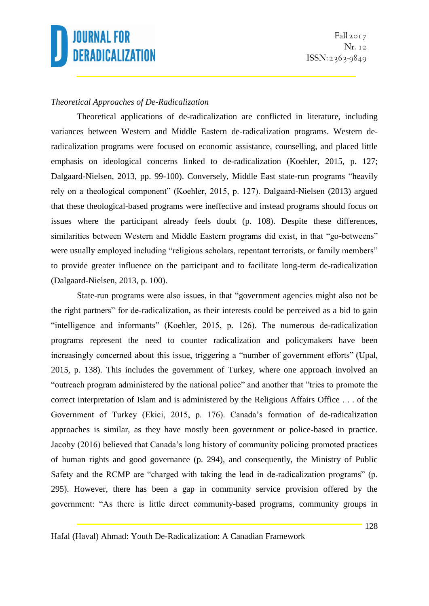

### *Theoretical Approaches of De-Radicalization*

Theoretical applications of de-radicalization are conflicted in literature, including variances between Western and Middle Eastern de-radicalization programs. Western deradicalization programs were focused on economic assistance, counselling, and placed little emphasis on ideological concerns linked to de-radicalization (Koehler, 2015, p. 127; Dalgaard-Nielsen, 2013, pp. 99-100). Conversely, Middle East state-run programs "heavily rely on a theological component" (Koehler, 2015, p. 127). Dalgaard-Nielsen (2013) argued that these theological-based programs were ineffective and instead programs should focus on issues where the participant already feels doubt (p. 108). Despite these differences, similarities between Western and Middle Eastern programs did exist, in that "go-betweens" were usually employed including "religious scholars, repentant terrorists, or family members" to provide greater influence on the participant and to facilitate long-term de-radicalization (Dalgaard-Nielsen, 2013, p. 100).

State-run programs were also issues, in that "government agencies might also not be the right partners" for de-radicalization, as their interests could be perceived as a bid to gain "intelligence and informants" (Koehler, 2015, p. 126). The numerous de-radicalization programs represent the need to counter radicalization and policymakers have been increasingly concerned about this issue, triggering a "number of government efforts" (Upal, 2015, p. 138). This includes the government of Turkey, where one approach involved an "outreach program administered by the national police" and another that "tries to promote the correct interpretation of Islam and is administered by the Religious Affairs Office . . . of the Government of Turkey (Ekici, 2015, p. 176). Canada's formation of de-radicalization approaches is similar, as they have mostly been government or police-based in practice. Jacoby (2016) believed that Canada's long history of community policing promoted practices of human rights and good governance (p. 294), and consequently, the Ministry of Public Safety and the RCMP are "charged with taking the lead in de-radicalization programs" (p. 295). However, there has been a gap in community service provision offered by the government: "As there is little direct community-based programs, community groups in

Hafal (Haval) Ahmad: Youth De-Radicalization: A Canadian Framework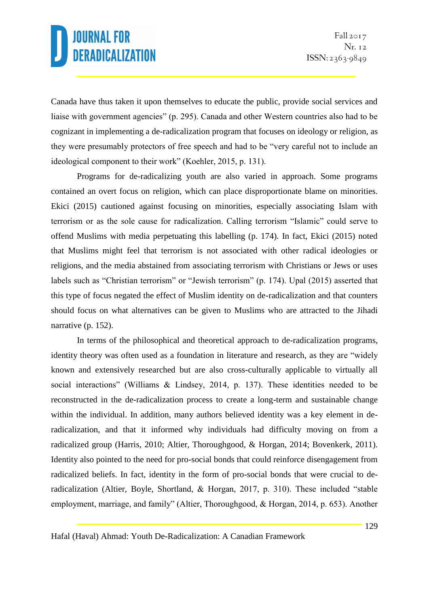Canada have thus taken it upon themselves to educate the public, provide social services and liaise with government agencies" (p. 295). Canada and other Western countries also had to be cognizant in implementing a de-radicalization program that focuses on ideology or religion, as they were presumably protectors of free speech and had to be "very careful not to include an ideological component to their work" (Koehler, 2015, p. 131).

Programs for de-radicalizing youth are also varied in approach. Some programs contained an overt focus on religion, which can place disproportionate blame on minorities. Ekici (2015) cautioned against focusing on minorities, especially associating Islam with terrorism or as the sole cause for radicalization. Calling terrorism "Islamic" could serve to offend Muslims with media perpetuating this labelling (p. 174). In fact, Ekici (2015) noted that Muslims might feel that terrorism is not associated with other radical ideologies or religions, and the media abstained from associating terrorism with Christians or Jews or uses labels such as "Christian terrorism" or "Jewish terrorism" (p. 174). Upal (2015) asserted that this type of focus negated the effect of Muslim identity on de-radicalization and that counters should focus on what alternatives can be given to Muslims who are attracted to the Jihadi narrative (p. 152).

In terms of the philosophical and theoretical approach to de-radicalization programs, identity theory was often used as a foundation in literature and research, as they are "widely known and extensively researched but are also cross-culturally applicable to virtually all social interactions" (Williams & Lindsey, 2014, p. 137). These identities needed to be reconstructed in the de-radicalization process to create a long-term and sustainable change within the individual. In addition, many authors believed identity was a key element in deradicalization, and that it informed why individuals had difficulty moving on from a radicalized group (Harris, 2010; Altier, Thoroughgood, & Horgan, 2014; Bovenkerk, 2011). Identity also pointed to the need for pro-social bonds that could reinforce disengagement from radicalized beliefs. In fact, identity in the form of pro-social bonds that were crucial to deradicalization (Altier, Boyle, Shortland, & Horgan, 2017, p. 310). These included "stable employment, marriage, and family" (Altier, Thoroughgood, & Horgan, 2014, p. 653). Another

Hafal (Haval) Ahmad: Youth De-Radicalization: A Canadian Framework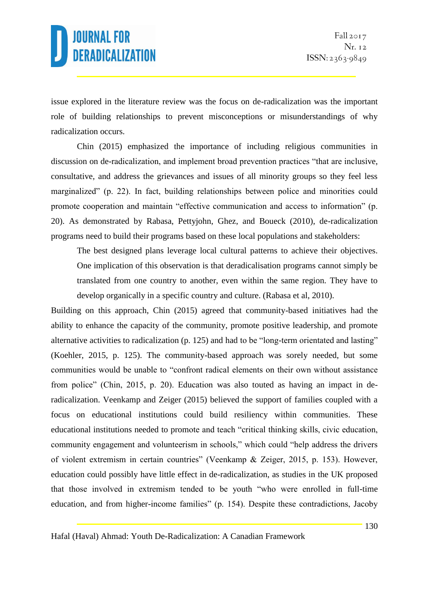issue explored in the literature review was the focus on de-radicalization was the important role of building relationships to prevent misconceptions or misunderstandings of why radicalization occurs.

Chin (2015) emphasized the importance of including religious communities in discussion on de-radicalization, and implement broad prevention practices "that are inclusive, consultative, and address the grievances and issues of all minority groups so they feel less marginalized" (p. 22). In fact, building relationships between police and minorities could promote cooperation and maintain "effective communication and access to information" (p. 20). As demonstrated by Rabasa, Pettyjohn, Ghez, and Boueck (2010), de-radicalization programs need to build their programs based on these local populations and stakeholders:

The best designed plans leverage local cultural patterns to achieve their objectives. One implication of this observation is that deradicalisation programs cannot simply be translated from one country to another, even within the same region. They have to develop organically in a specific country and culture. (Rabasa et al, 2010).

Building on this approach, Chin (2015) agreed that community-based initiatives had the ability to enhance the capacity of the community, promote positive leadership, and promote alternative activities to radicalization (p. 125) and had to be "long-term orientated and lasting" (Koehler, 2015, p. 125). The community-based approach was sorely needed, but some communities would be unable to "confront radical elements on their own without assistance from police" (Chin, 2015, p. 20). Education was also touted as having an impact in deradicalization. Veenkamp and Zeiger (2015) believed the support of families coupled with a focus on educational institutions could build resiliency within communities. These educational institutions needed to promote and teach "critical thinking skills, civic education, community engagement and volunteerism in schools," which could "help address the drivers of violent extremism in certain countries" (Veenkamp & Zeiger, 2015, p. 153). However, education could possibly have little effect in de-radicalization, as studies in the UK proposed that those involved in extremism tended to be youth "who were enrolled in full-time education, and from higher-income families" (p. 154). Despite these contradictions, Jacoby

Hafal (Haval) Ahmad: Youth De-Radicalization: A Canadian Framework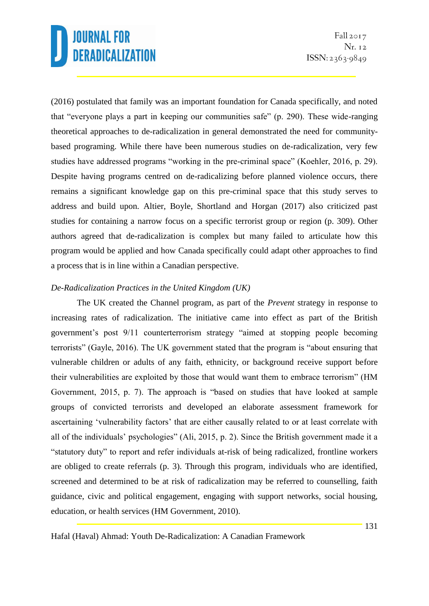(2016) postulated that family was an important foundation for Canada specifically, and noted that "everyone plays a part in keeping our communities safe" (p. 290). These wide-ranging theoretical approaches to de-radicalization in general demonstrated the need for communitybased programing. While there have been numerous studies on de-radicalization, very few studies have addressed programs "working in the pre-criminal space" (Koehler, 2016, p. 29). Despite having programs centred on de-radicalizing before planned violence occurs, there remains a significant knowledge gap on this pre-criminal space that this study serves to address and build upon. Altier, Boyle, Shortland and Horgan (2017) also criticized past studies for containing a narrow focus on a specific terrorist group or region (p. 309). Other authors agreed that de-radicalization is complex but many failed to articulate how this program would be applied and how Canada specifically could adapt other approaches to find a process that is in line within a Canadian perspective.

## *De-Radicalization Practices in the United Kingdom (UK)*

The UK created the Channel program, as part of the *Prevent* strategy in response to increasing rates of radicalization. The initiative came into effect as part of the British government's post 9/11 counterterrorism strategy "aimed at stopping people becoming terrorists" (Gayle, 2016). The UK government stated that the program is "about ensuring that vulnerable children or adults of any faith, ethnicity, or background receive support before their vulnerabilities are exploited by those that would want them to embrace terrorism" (HM Government, 2015, p. 7). The approach is "based on studies that have looked at sample groups of convicted terrorists and developed an elaborate assessment framework for ascertaining 'vulnerability factors' that are either causally related to or at least correlate with all of the individuals' psychologies" (Ali, 2015, p. 2). Since the British government made it a "statutory duty" to report and refer individuals at-risk of being radicalized, frontline workers are obliged to create referrals (p. 3). Through this program, individuals who are identified, screened and determined to be at risk of radicalization may be referred to counselling, faith guidance, civic and political engagement, engaging with support networks, social housing, education, or health services (HM Government, 2010).

Hafal (Haval) Ahmad: Youth De-Radicalization: A Canadian Framework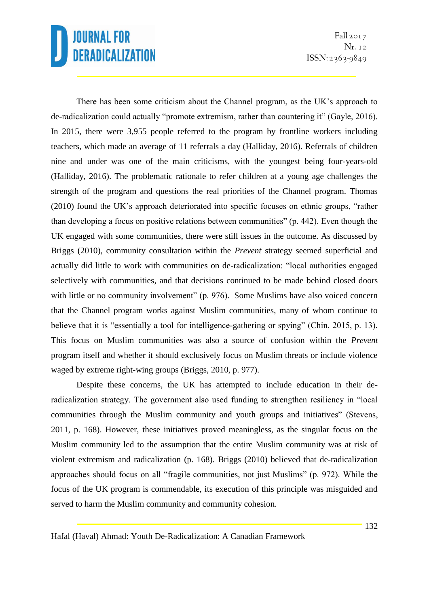Fall  $2017$ Nr. 12  $ISSN: 2363-9849$ 

There has been some criticism about the Channel program, as the UK's approach to de-radicalization could actually "promote extremism, rather than countering it" (Gayle, 2016). In 2015, there were 3,955 people referred to the program by frontline workers including teachers, which made an average of 11 referrals a day (Halliday, 2016). Referrals of children nine and under was one of the main criticisms, with the youngest being four-years-old (Halliday, 2016). The problematic rationale to refer children at a young age challenges the strength of the program and questions the real priorities of the Channel program. Thomas (2010) found the UK's approach deteriorated into specific focuses on ethnic groups, "rather than developing a focus on positive relations between communities" (p. 442). Even though the UK engaged with some communities, there were still issues in the outcome. As discussed by Briggs (2010), community consultation within the *Prevent* strategy seemed superficial and actually did little to work with communities on de-radicalization: "local authorities engaged selectively with communities, and that decisions continued to be made behind closed doors with little or no community involvement" (p. 976). Some Muslims have also voiced concern that the Channel program works against Muslim communities, many of whom continue to believe that it is "essentially a tool for intelligence-gathering or spying" (Chin, 2015, p. 13). This focus on Muslim communities was also a source of confusion within the *Prevent*  program itself and whether it should exclusively focus on Muslim threats or include violence waged by extreme right-wing groups (Briggs, 2010, p. 977).

Despite these concerns, the UK has attempted to include education in their deradicalization strategy. The government also used funding to strengthen resiliency in "local communities through the Muslim community and youth groups and initiatives" (Stevens, 2011, p. 168). However, these initiatives proved meaningless, as the singular focus on the Muslim community led to the assumption that the entire Muslim community was at risk of violent extremism and radicalization (p. 168). Briggs (2010) believed that de-radicalization approaches should focus on all "fragile communities, not just Muslims" (p. 972). While the focus of the UK program is commendable, its execution of this principle was misguided and served to harm the Muslim community and community cohesion.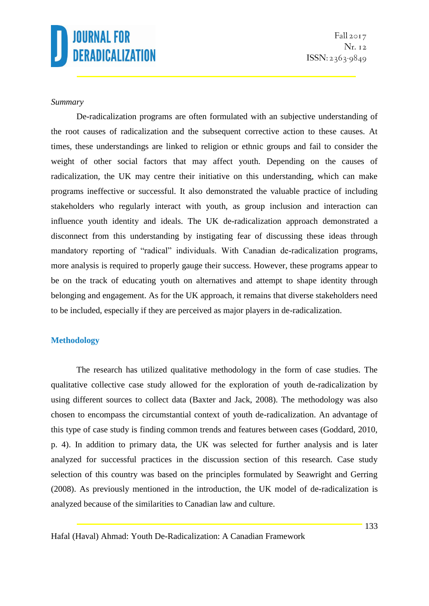Fall 2017 Nr. 12  $ISSN: 2363-9849$ 

#### *Summary*

De-radicalization programs are often formulated with an subjective understanding of the root causes of radicalization and the subsequent corrective action to these causes. At times, these understandings are linked to religion or ethnic groups and fail to consider the weight of other social factors that may affect youth. Depending on the causes of radicalization, the UK may centre their initiative on this understanding, which can make programs ineffective or successful. It also demonstrated the valuable practice of including stakeholders who regularly interact with youth, as group inclusion and interaction can influence youth identity and ideals. The UK de-radicalization approach demonstrated a disconnect from this understanding by instigating fear of discussing these ideas through mandatory reporting of "radical" individuals. With Canadian de-radicalization programs, more analysis is required to properly gauge their success. However, these programs appear to be on the track of educating youth on alternatives and attempt to shape identity through belonging and engagement. As for the UK approach, it remains that diverse stakeholders need to be included, especially if they are perceived as major players in de-radicalization.

#### **Methodology**

The research has utilized qualitative methodology in the form of case studies. The qualitative collective case study allowed for the exploration of youth de-radicalization by using different sources to collect data (Baxter and Jack, 2008). The methodology was also chosen to encompass the circumstantial context of youth de-radicalization. An advantage of this type of case study is finding common trends and features between cases (Goddard, 2010, p. 4). In addition to primary data, the UK was selected for further analysis and is later analyzed for successful practices in the discussion section of this research. Case study selection of this country was based on the principles formulated by Seawright and Gerring (2008). As previously mentioned in the introduction, the UK model of de-radicalization is analyzed because of the similarities to Canadian law and culture.

Hafal (Haval) Ahmad: Youth De-Radicalization: A Canadian Framework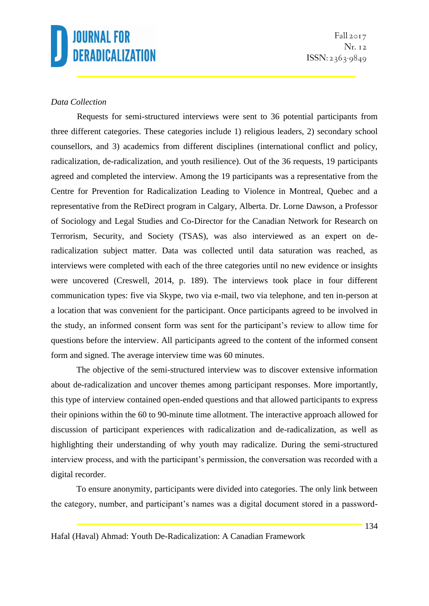Fall  $2017$ Nr. 12  $ISSN: 2363-9849$ 

## *Data Collection*

Requests for semi-structured interviews were sent to 36 potential participants from three different categories. These categories include 1) religious leaders, 2) secondary school counsellors, and 3) academics from different disciplines (international conflict and policy, radicalization, de-radicalization, and youth resilience). Out of the 36 requests, 19 participants agreed and completed the interview. Among the 19 participants was a representative from the Centre for Prevention for Radicalization Leading to Violence in Montreal, Quebec and a representative from the ReDirect program in Calgary, Alberta. Dr. Lorne Dawson, a Professor of Sociology and Legal Studies and Co-Director for the Canadian Network for Research on Terrorism, Security, and Society (TSAS), was also interviewed as an expert on deradicalization subject matter. Data was collected until data saturation was reached, as interviews were completed with each of the three categories until no new evidence or insights were uncovered (Creswell, 2014, p. 189). The interviews took place in four different communication types: five via Skype, two via e-mail, two via telephone, and ten in-person at a location that was convenient for the participant. Once participants agreed to be involved in the study, an informed consent form was sent for the participant's review to allow time for questions before the interview. All participants agreed to the content of the informed consent form and signed. The average interview time was 60 minutes.

The objective of the semi-structured interview was to discover extensive information about de-radicalization and uncover themes among participant responses. More importantly, this type of interview contained open-ended questions and that allowed participants to express their opinions within the 60 to 90-minute time allotment. The interactive approach allowed for discussion of participant experiences with radicalization and de-radicalization, as well as highlighting their understanding of why youth may radicalize. During the semi-structured interview process, and with the participant's permission, the conversation was recorded with a digital recorder.

To ensure anonymity, participants were divided into categories. The only link between the category, number, and participant's names was a digital document stored in a password-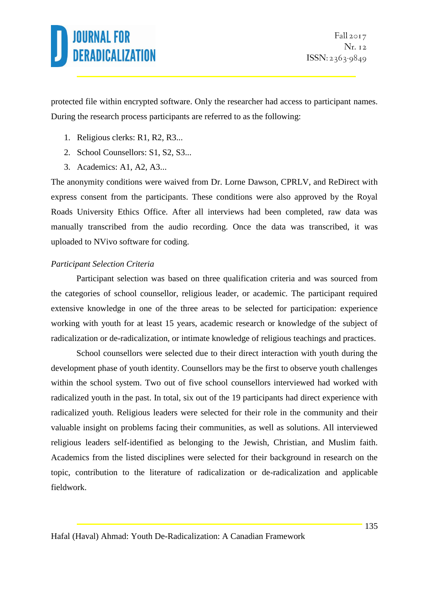protected file within encrypted software. Only the researcher had access to participant names. During the research process participants are referred to as the following:

- 1. Religious clerks: R1, R2, R3...
- 2. School Counsellors: S1, S2, S3...
- 3. Academics: A1, A2, A3...

The anonymity conditions were waived from Dr. Lorne Dawson, CPRLV, and ReDirect with express consent from the participants. These conditions were also approved by the Royal Roads University Ethics Office. After all interviews had been completed, raw data was manually transcribed from the audio recording. Once the data was transcribed, it was uploaded to NVivo software for coding.

## *Participant Selection Criteria*

Participant selection was based on three qualification criteria and was sourced from the categories of school counsellor, religious leader, or academic. The participant required extensive knowledge in one of the three areas to be selected for participation: experience working with youth for at least 15 years, academic research or knowledge of the subject of radicalization or de-radicalization, or intimate knowledge of religious teachings and practices.

School counsellors were selected due to their direct interaction with youth during the development phase of youth identity. Counsellors may be the first to observe youth challenges within the school system. Two out of five school counsellors interviewed had worked with radicalized youth in the past. In total, six out of the 19 participants had direct experience with radicalized youth. Religious leaders were selected for their role in the community and their valuable insight on problems facing their communities, as well as solutions. All interviewed religious leaders self-identified as belonging to the Jewish, Christian, and Muslim faith. Academics from the listed disciplines were selected for their background in research on the topic, contribution to the literature of radicalization or de-radicalization and applicable fieldwork.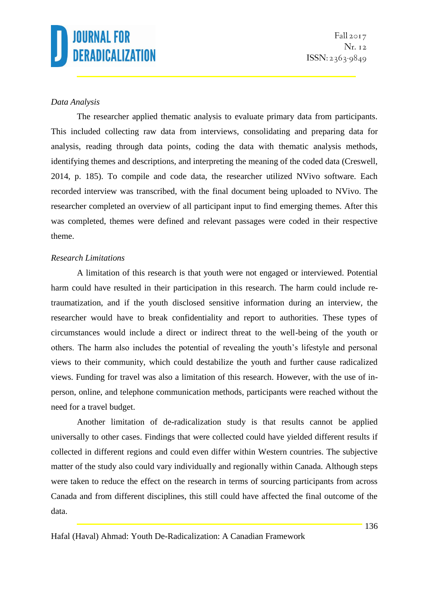Fall  $2017$ Nr. 12  $ISSN: 2363-9849$ 

### *Data Analysis*

The researcher applied thematic analysis to evaluate primary data from participants. This included collecting raw data from interviews, consolidating and preparing data for analysis, reading through data points, coding the data with thematic analysis methods, identifying themes and descriptions, and interpreting the meaning of the coded data (Creswell, 2014, p. 185). To compile and code data, the researcher utilized NVivo software. Each recorded interview was transcribed, with the final document being uploaded to NVivo. The researcher completed an overview of all participant input to find emerging themes. After this was completed, themes were defined and relevant passages were coded in their respective theme.

### *Research Limitations*

A limitation of this research is that youth were not engaged or interviewed. Potential harm could have resulted in their participation in this research. The harm could include retraumatization, and if the youth disclosed sensitive information during an interview, the researcher would have to break confidentiality and report to authorities. These types of circumstances would include a direct or indirect threat to the well-being of the youth or others. The harm also includes the potential of revealing the youth's lifestyle and personal views to their community, which could destabilize the youth and further cause radicalized views. Funding for travel was also a limitation of this research. However, with the use of inperson, online, and telephone communication methods, participants were reached without the need for a travel budget.

Another limitation of de-radicalization study is that results cannot be applied universally to other cases. Findings that were collected could have yielded different results if collected in different regions and could even differ within Western countries. The subjective matter of the study also could vary individually and regionally within Canada. Although steps were taken to reduce the effect on the research in terms of sourcing participants from across Canada and from different disciplines, this still could have affected the final outcome of the data.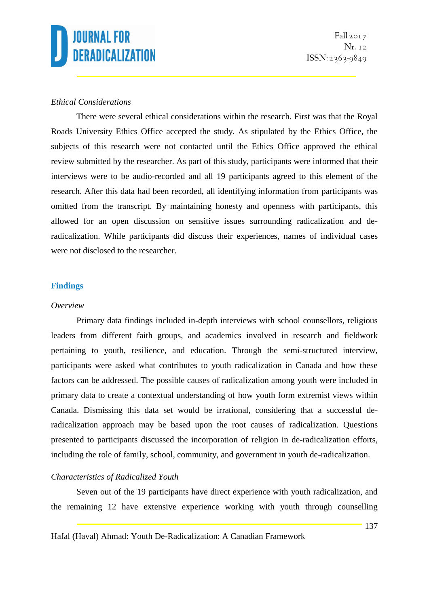## *Ethical Considerations*

There were several ethical considerations within the research. First was that the Royal Roads University Ethics Office accepted the study. As stipulated by the Ethics Office, the subjects of this research were not contacted until the Ethics Office approved the ethical review submitted by the researcher. As part of this study, participants were informed that their interviews were to be audio-recorded and all 19 participants agreed to this element of the research. After this data had been recorded, all identifying information from participants was omitted from the transcript. By maintaining honesty and openness with participants, this allowed for an open discussion on sensitive issues surrounding radicalization and deradicalization. While participants did discuss their experiences, names of individual cases were not disclosed to the researcher.

### **Findings**

#### *Overview*

Primary data findings included in-depth interviews with school counsellors, religious leaders from different faith groups, and academics involved in research and fieldwork pertaining to youth, resilience, and education. Through the semi-structured interview, participants were asked what contributes to youth radicalization in Canada and how these factors can be addressed. The possible causes of radicalization among youth were included in primary data to create a contextual understanding of how youth form extremist views within Canada. Dismissing this data set would be irrational, considering that a successful deradicalization approach may be based upon the root causes of radicalization. Questions presented to participants discussed the incorporation of religion in de-radicalization efforts, including the role of family, school, community, and government in youth de-radicalization.

### *Characteristics of Radicalized Youth*

Seven out of the 19 participants have direct experience with youth radicalization, and the remaining 12 have extensive experience working with youth through counselling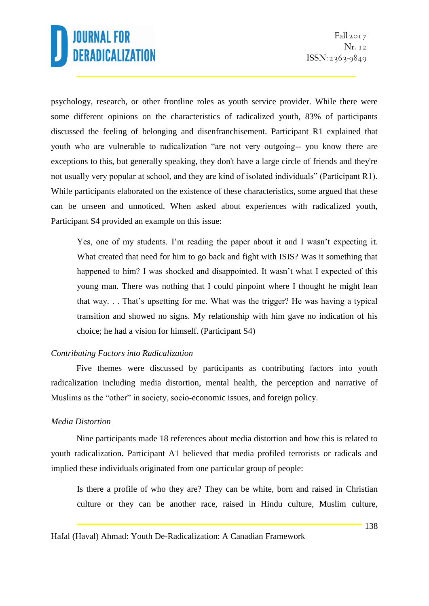psychology, research, or other frontline roles as youth service provider. While there were some different opinions on the characteristics of radicalized youth, 83% of participants discussed the feeling of belonging and disenfranchisement. Participant R1 explained that youth who are vulnerable to radicalization "are not very outgoing-- you know there are exceptions to this, but generally speaking, they don't have a large circle of friends and they're not usually very popular at school, and they are kind of isolated individuals" (Participant R1). While participants elaborated on the existence of these characteristics, some argued that these can be unseen and unnoticed. When asked about experiences with radicalized youth, Participant S4 provided an example on this issue:

Yes, one of my students. I'm reading the paper about it and I wasn't expecting it. What created that need for him to go back and fight with ISIS? Was it something that happened to him? I was shocked and disappointed. It wasn't what I expected of this young man. There was nothing that I could pinpoint where I thought he might lean that way. . . That's upsetting for me. What was the trigger? He was having a typical transition and showed no signs. My relationship with him gave no indication of his choice; he had a vision for himself. (Participant S4)

### *Contributing Factors into Radicalization*

Five themes were discussed by participants as contributing factors into youth radicalization including media distortion, mental health, the perception and narrative of Muslims as the "other" in society, socio-economic issues, and foreign policy.

### *Media Distortion*

Nine participants made 18 references about media distortion and how this is related to youth radicalization. Participant A1 believed that media profiled terrorists or radicals and implied these individuals originated from one particular group of people:

Is there a profile of who they are? They can be white, born and raised in Christian culture or they can be another race, raised in Hindu culture, Muslim culture,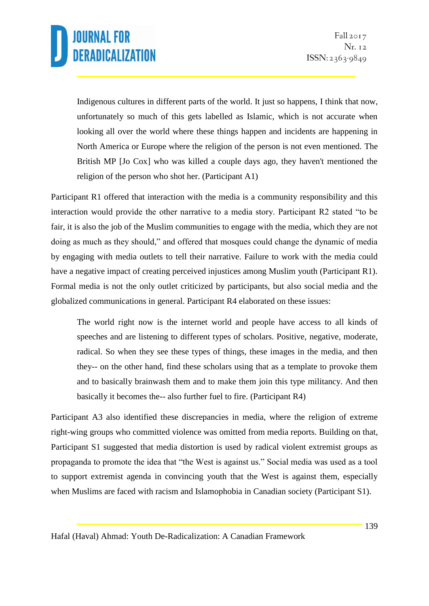Indigenous cultures in different parts of the world. It just so happens, I think that now, unfortunately so much of this gets labelled as Islamic, which is not accurate when looking all over the world where these things happen and incidents are happening in North America or Europe where the religion of the person is not even mentioned. The British MP [Jo Cox] who was killed a couple days ago, they haven't mentioned the religion of the person who shot her. (Participant A1)

Participant R1 offered that interaction with the media is a community responsibility and this interaction would provide the other narrative to a media story. Participant R2 stated "to be fair, it is also the job of the Muslim communities to engage with the media, which they are not doing as much as they should," and offered that mosques could change the dynamic of media by engaging with media outlets to tell their narrative. Failure to work with the media could have a negative impact of creating perceived injustices among Muslim youth (Participant R1). Formal media is not the only outlet criticized by participants, but also social media and the globalized communications in general. Participant R4 elaborated on these issues:

The world right now is the internet world and people have access to all kinds of speeches and are listening to different types of scholars. Positive, negative, moderate, radical. So when they see these types of things, these images in the media, and then they-- on the other hand, find these scholars using that as a template to provoke them and to basically brainwash them and to make them join this type militancy. And then basically it becomes the-- also further fuel to fire. (Participant R4)

Participant A3 also identified these discrepancies in media, where the religion of extreme right-wing groups who committed violence was omitted from media reports. Building on that, Participant S1 suggested that media distortion is used by radical violent extremist groups as propaganda to promote the idea that "the West is against us." Social media was used as a tool to support extremist agenda in convincing youth that the West is against them, especially when Muslims are faced with racism and Islamophobia in Canadian society (Participant S1).

Hafal (Haval) Ahmad: Youth De-Radicalization: A Canadian Framework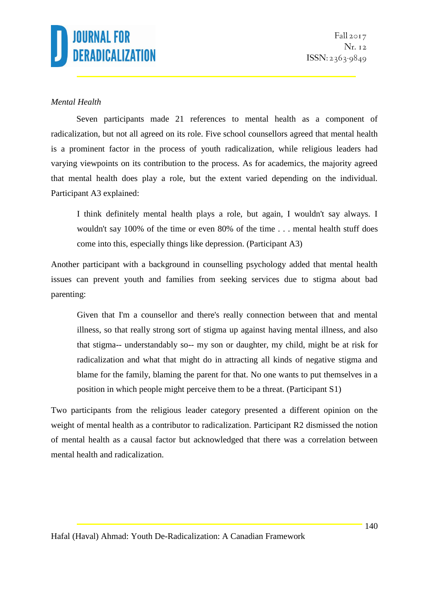Fall 2017 Nr. 12  $ISSN: 2363-9849$ 

## *Mental Health*

Seven participants made 21 references to mental health as a component of radicalization, but not all agreed on its role. Five school counsellors agreed that mental health is a prominent factor in the process of youth radicalization, while religious leaders had varying viewpoints on its contribution to the process. As for academics, the majority agreed that mental health does play a role, but the extent varied depending on the individual. Participant A3 explained:

I think definitely mental health plays a role, but again, I wouldn't say always. I wouldn't say 100% of the time or even 80% of the time . . . mental health stuff does come into this, especially things like depression. (Participant A3)

Another participant with a background in counselling psychology added that mental health issues can prevent youth and families from seeking services due to stigma about bad parenting:

Given that I'm a counsellor and there's really connection between that and mental illness, so that really strong sort of stigma up against having mental illness, and also that stigma-- understandably so-- my son or daughter, my child, might be at risk for radicalization and what that might do in attracting all kinds of negative stigma and blame for the family, blaming the parent for that. No one wants to put themselves in a position in which people might perceive them to be a threat. (Participant S1)

Two participants from the religious leader category presented a different opinion on the weight of mental health as a contributor to radicalization. Participant R2 dismissed the notion of mental health as a causal factor but acknowledged that there was a correlation between mental health and radicalization.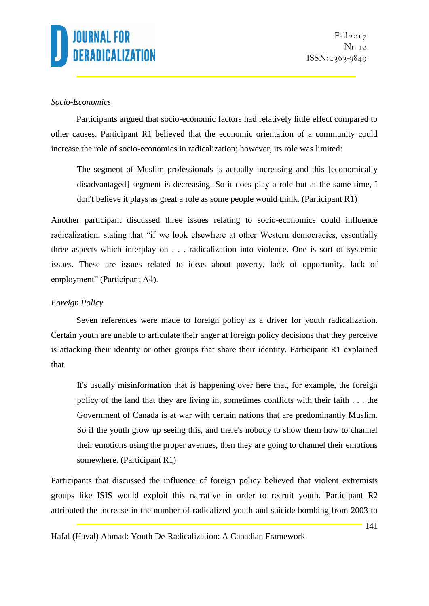## *Socio-Economics*

Participants argued that socio-economic factors had relatively little effect compared to other causes. Participant R1 believed that the economic orientation of a community could increase the role of socio-economics in radicalization; however, its role was limited:

The segment of Muslim professionals is actually increasing and this [economically disadvantaged] segment is decreasing. So it does play a role but at the same time, I don't believe it plays as great a role as some people would think. (Participant R1)

Another participant discussed three issues relating to socio-economics could influence radicalization, stating that "if we look elsewhere at other Western democracies, essentially three aspects which interplay on . . . radicalization into violence. One is sort of systemic issues. These are issues related to ideas about poverty, lack of opportunity, lack of employment" (Participant A4).

## *Foreign Policy*

Seven references were made to foreign policy as a driver for youth radicalization. Certain youth are unable to articulate their anger at foreign policy decisions that they perceive is attacking their identity or other groups that share their identity. Participant R1 explained that

It's usually misinformation that is happening over here that, for example, the foreign policy of the land that they are living in, sometimes conflicts with their faith . . . the Government of Canada is at war with certain nations that are predominantly Muslim. So if the youth grow up seeing this, and there's nobody to show them how to channel their emotions using the proper avenues, then they are going to channel their emotions somewhere. (Participant R1)

Participants that discussed the influence of foreign policy believed that violent extremists groups like ISIS would exploit this narrative in order to recruit youth. Participant R2 attributed the increase in the number of radicalized youth and suicide bombing from 2003 to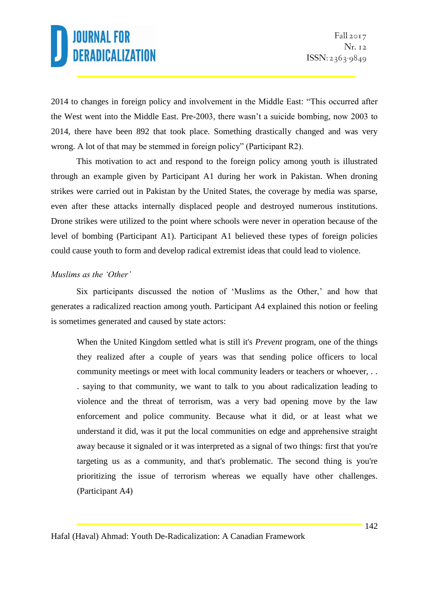2014 to changes in foreign policy and involvement in the Middle East: "This occurred after the West went into the Middle East. Pre-2003, there wasn't a suicide bombing, now 2003 to 2014, there have been 892 that took place. Something drastically changed and was very wrong. A lot of that may be stemmed in foreign policy" (Participant R2).

This motivation to act and respond to the foreign policy among youth is illustrated through an example given by Participant A1 during her work in Pakistan. When droning strikes were carried out in Pakistan by the United States, the coverage by media was sparse, even after these attacks internally displaced people and destroyed numerous institutions. Drone strikes were utilized to the point where schools were never in operation because of the level of bombing (Participant A1). Participant A1 believed these types of foreign policies could cause youth to form and develop radical extremist ideas that could lead to violence.

### *Muslims as the 'Other'*

Six participants discussed the notion of 'Muslims as the Other,' and how that generates a radicalized reaction among youth. Participant A4 explained this notion or feeling is sometimes generated and caused by state actors:

When the United Kingdom settled what is still it's *Prevent* program, one of the things they realized after a couple of years was that sending police officers to local community meetings or meet with local community leaders or teachers or whoever, . . . saying to that community, we want to talk to you about radicalization leading to violence and the threat of terrorism, was a very bad opening move by the law enforcement and police community. Because what it did, or at least what we understand it did, was it put the local communities on edge and apprehensive straight away because it signaled or it was interpreted as a signal of two things: first that you're targeting us as a community, and that's problematic. The second thing is you're prioritizing the issue of terrorism whereas we equally have other challenges. (Participant A4)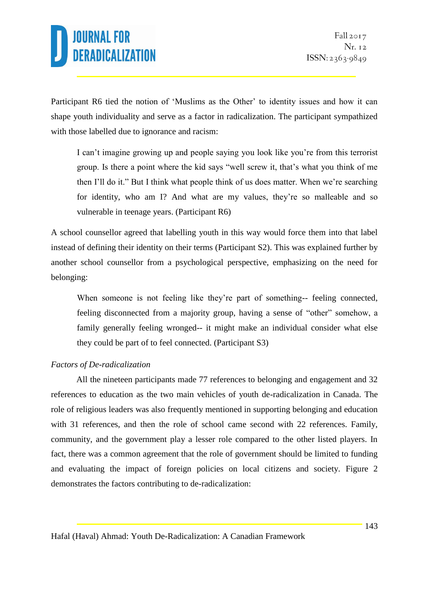Participant R6 tied the notion of 'Muslims as the Other' to identity issues and how it can shape youth individuality and serve as a factor in radicalization. The participant sympathized with those labelled due to ignorance and racism:

I can't imagine growing up and people saying you look like you're from this terrorist group. Is there a point where the kid says "well screw it, that's what you think of me then I'll do it." But I think what people think of us does matter. When we're searching for identity, who am I? And what are my values, they're so malleable and so vulnerable in teenage years. (Participant R6)

A school counsellor agreed that labelling youth in this way would force them into that label instead of defining their identity on their terms (Participant S2). This was explained further by another school counsellor from a psychological perspective, emphasizing on the need for belonging:

When someone is not feeling like they're part of something-- feeling connected, feeling disconnected from a majority group, having a sense of "other" somehow, a family generally feeling wronged-- it might make an individual consider what else they could be part of to feel connected. (Participant S3)

### *Factors of De-radicalization*

All the nineteen participants made 77 references to belonging and engagement and 32 references to education as the two main vehicles of youth de-radicalization in Canada. The role of religious leaders was also frequently mentioned in supporting belonging and education with 31 references, and then the role of school came second with 22 references. Family, community, and the government play a lesser role compared to the other listed players. In fact, there was a common agreement that the role of government should be limited to funding and evaluating the impact of foreign policies on local citizens and society. Figure 2 demonstrates the factors contributing to de-radicalization: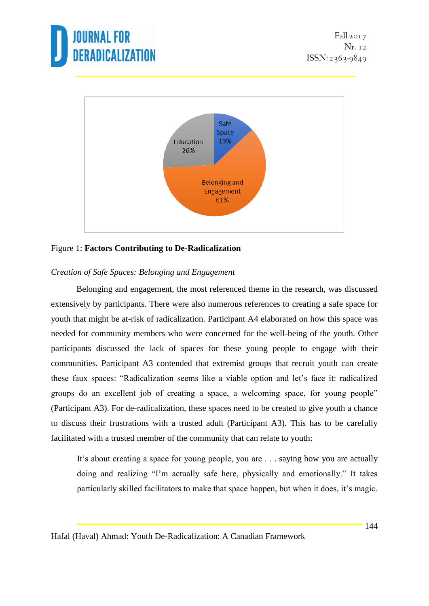



### Figure 1: **Factors Contributing to De-Radicalization**

### *Creation of Safe Spaces: Belonging and Engagement*

Belonging and engagement, the most referenced theme in the research, was discussed extensively by participants. There were also numerous references to creating a safe space for youth that might be at-risk of radicalization. Participant A4 elaborated on how this space was needed for community members who were concerned for the well-being of the youth. Other participants discussed the lack of spaces for these young people to engage with their communities. Participant A3 contended that extremist groups that recruit youth can create these faux spaces: "Radicalization seems like a viable option and let's face it: radicalized groups do an excellent job of creating a space, a welcoming space, for young people" (Participant A3). For de-radicalization, these spaces need to be created to give youth a chance to discuss their frustrations with a trusted adult (Participant A3). This has to be carefully facilitated with a trusted member of the community that can relate to youth:

It's about creating a space for young people, you are . . . saying how you are actually doing and realizing "I'm actually safe here, physically and emotionally." It takes particularly skilled facilitators to make that space happen, but when it does, it's magic.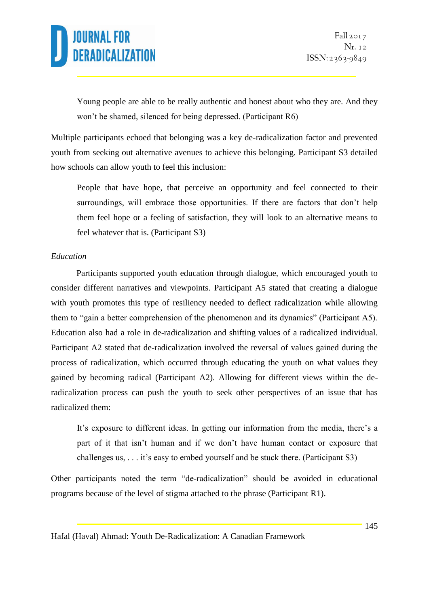Young people are able to be really authentic and honest about who they are. And they won't be shamed, silenced for being depressed. (Participant R6)

Multiple participants echoed that belonging was a key de-radicalization factor and prevented youth from seeking out alternative avenues to achieve this belonging. Participant S3 detailed how schools can allow youth to feel this inclusion:

People that have hope, that perceive an opportunity and feel connected to their surroundings, will embrace those opportunities. If there are factors that don't help them feel hope or a feeling of satisfaction, they will look to an alternative means to feel whatever that is. (Participant S3)

### *Education*

Participants supported youth education through dialogue, which encouraged youth to consider different narratives and viewpoints. Participant A5 stated that creating a dialogue with youth promotes this type of resiliency needed to deflect radicalization while allowing them to "gain a better comprehension of the phenomenon and its dynamics" (Participant A5). Education also had a role in de-radicalization and shifting values of a radicalized individual. Participant A2 stated that de-radicalization involved the reversal of values gained during the process of radicalization, which occurred through educating the youth on what values they gained by becoming radical (Participant A2). Allowing for different views within the deradicalization process can push the youth to seek other perspectives of an issue that has radicalized them:

It's exposure to different ideas. In getting our information from the media, there's a part of it that isn't human and if we don't have human contact or exposure that challenges us, . . . it's easy to embed yourself and be stuck there. (Participant S3)

Other participants noted the term "de-radicalization" should be avoided in educational programs because of the level of stigma attached to the phrase (Participant R1).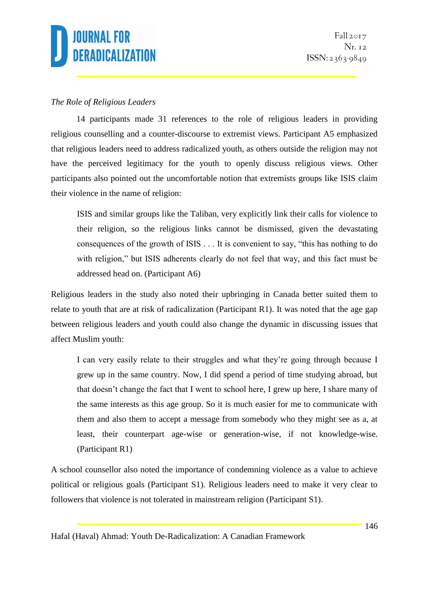

## *The Role of Religious Leaders*

14 participants made 31 references to the role of religious leaders in providing religious counselling and a counter-discourse to extremist views. Participant A5 emphasized that religious leaders need to address radicalized youth, as others outside the religion may not have the perceived legitimacy for the youth to openly discuss religious views. Other participants also pointed out the uncomfortable notion that extremists groups like ISIS claim their violence in the name of religion:

ISIS and similar groups like the Taliban, very explicitly link their calls for violence to their religion, so the religious links cannot be dismissed, given the devastating consequences of the growth of ISIS . . . It is convenient to say, "this has nothing to do with religion," but ISIS adherents clearly do not feel that way, and this fact must be addressed head on. (Participant A6)

Religious leaders in the study also noted their upbringing in Canada better suited them to relate to youth that are at risk of radicalization (Participant R1). It was noted that the age gap between religious leaders and youth could also change the dynamic in discussing issues that affect Muslim youth:

I can very easily relate to their struggles and what they're going through because I grew up in the same country. Now, I did spend a period of time studying abroad, but that doesn't change the fact that I went to school here, I grew up here, I share many of the same interests as this age group. So it is much easier for me to communicate with them and also them to accept a message from somebody who they might see as a, at least, their counterpart age-wise or generation-wise, if not knowledge-wise. (Participant R1)

A school counsellor also noted the importance of condemning violence as a value to achieve political or religious goals (Participant S1). Religious leaders need to make it very clear to followers that violence is not tolerated in mainstream religion (Participant S1).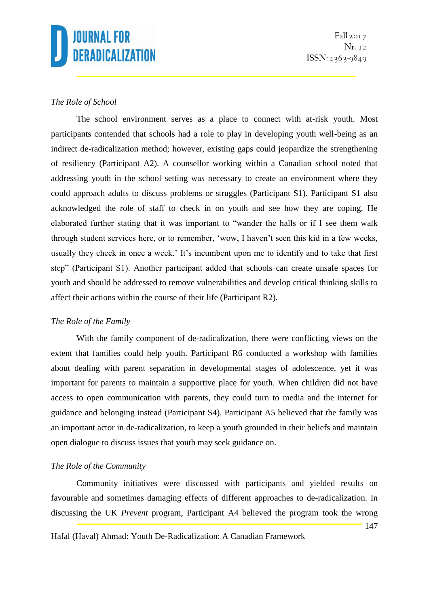## *The Role of School*

The school environment serves as a place to connect with at-risk youth. Most participants contended that schools had a role to play in developing youth well-being as an indirect de-radicalization method; however, existing gaps could jeopardize the strengthening of resiliency (Participant A2). A counsellor working within a Canadian school noted that addressing youth in the school setting was necessary to create an environment where they could approach adults to discuss problems or struggles (Participant S1). Participant S1 also acknowledged the role of staff to check in on youth and see how they are coping. He elaborated further stating that it was important to "wander the halls or if I see them walk through student services here, or to remember, 'wow, I haven't seen this kid in a few weeks, usually they check in once a week.' It's incumbent upon me to identify and to take that first step" (Participant S1). Another participant added that schools can create unsafe spaces for youth and should be addressed to remove vulnerabilities and develop critical thinking skills to affect their actions within the course of their life (Participant R2).

### *The Role of the Family*

With the family component of de-radicalization, there were conflicting views on the extent that families could help youth. Participant R6 conducted a workshop with families about dealing with parent separation in developmental stages of adolescence, yet it was important for parents to maintain a supportive place for youth. When children did not have access to open communication with parents, they could turn to media and the internet for guidance and belonging instead (Participant S4). Participant A5 believed that the family was an important actor in de-radicalization, to keep a youth grounded in their beliefs and maintain open dialogue to discuss issues that youth may seek guidance on.

### *The Role of the Community*

Community initiatives were discussed with participants and yielded results on favourable and sometimes damaging effects of different approaches to de-radicalization. In discussing the UK *Prevent* program, Participant A4 believed the program took the wrong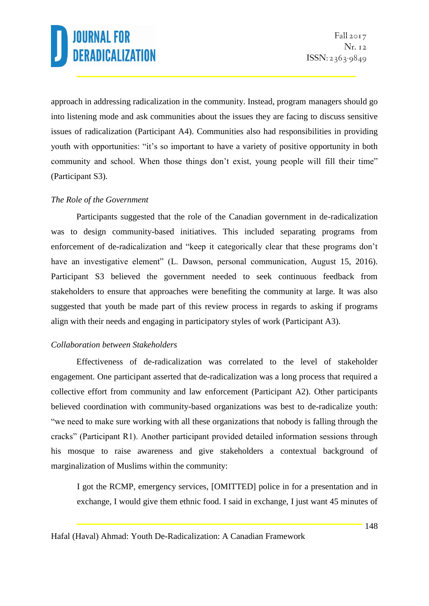approach in addressing radicalization in the community. Instead, program managers should go into listening mode and ask communities about the issues they are facing to discuss sensitive issues of radicalization (Participant A4). Communities also had responsibilities in providing youth with opportunities: "it's so important to have a variety of positive opportunity in both community and school. When those things don't exist, young people will fill their time" (Participant S3).

### *The Role of the Government*

Participants suggested that the role of the Canadian government in de-radicalization was to design community-based initiatives. This included separating programs from enforcement of de-radicalization and "keep it categorically clear that these programs don't have an investigative element" (L. Dawson, personal communication, August 15, 2016). Participant S3 believed the government needed to seek continuous feedback from stakeholders to ensure that approaches were benefiting the community at large. It was also suggested that youth be made part of this review process in regards to asking if programs align with their needs and engaging in participatory styles of work (Participant A3).

### *Collaboration between Stakeholders*

Effectiveness of de-radicalization was correlated to the level of stakeholder engagement. One participant asserted that de-radicalization was a long process that required a collective effort from community and law enforcement (Participant A2). Other participants believed coordination with community-based organizations was best to de-radicalize youth: "we need to make sure working with all these organizations that nobody is falling through the cracks" (Participant R1). Another participant provided detailed information sessions through his mosque to raise awareness and give stakeholders a contextual background of marginalization of Muslims within the community:

I got the RCMP, emergency services, [OMITTED] police in for a presentation and in exchange, I would give them ethnic food. I said in exchange, I just want 45 minutes of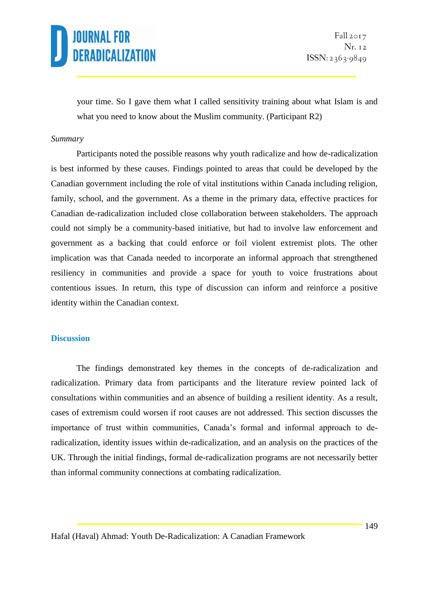your time. So I gave them what I called sensitivity training about what Islam is and what you need to know about the Muslim community. (Participant R2)

#### *Summary*

Participants noted the possible reasons why youth radicalize and how de-radicalization is best informed by these causes. Findings pointed to areas that could be developed by the Canadian government including the role of vital institutions within Canada including religion, family, school, and the government. As a theme in the primary data, effective practices for Canadian de-radicalization included close collaboration between stakeholders. The approach could not simply be a community-based initiative, but had to involve law enforcement and government as a backing that could enforce or foil violent extremist plots. The other implication was that Canada needed to incorporate an informal approach that strengthened resiliency in communities and provide a space for youth to voice frustrations about contentious issues. In return, this type of discussion can inform and reinforce a positive identity within the Canadian context.

#### **Discussion**

The findings demonstrated key themes in the concepts of de-radicalization and radicalization. Primary data from participants and the literature review pointed lack of consultations within communities and an absence of building a resilient identity. As a result, cases of extremism could worsen if root causes are not addressed. This section discusses the importance of trust within communities, Canada's formal and informal approach to deradicalization, identity issues within de-radicalization, and an analysis on the practices of the UK. Through the initial findings, formal de-radicalization programs are not necessarily better than informal community connections at combating radicalization.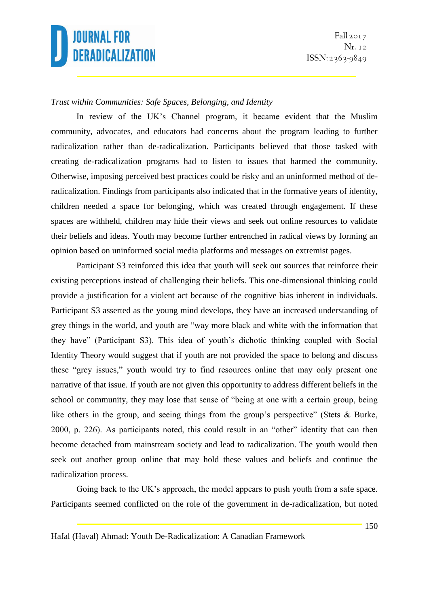

### *Trust within Communities: Safe Spaces, Belonging, and Identity*

In review of the UK's Channel program, it became evident that the Muslim community, advocates, and educators had concerns about the program leading to further radicalization rather than de-radicalization. Participants believed that those tasked with creating de-radicalization programs had to listen to issues that harmed the community. Otherwise, imposing perceived best practices could be risky and an uninformed method of deradicalization. Findings from participants also indicated that in the formative years of identity, children needed a space for belonging, which was created through engagement. If these spaces are withheld, children may hide their views and seek out online resources to validate their beliefs and ideas. Youth may become further entrenched in radical views by forming an opinion based on uninformed social media platforms and messages on extremist pages.

Participant S3 reinforced this idea that youth will seek out sources that reinforce their existing perceptions instead of challenging their beliefs. This one-dimensional thinking could provide a justification for a violent act because of the cognitive bias inherent in individuals. Participant S3 asserted as the young mind develops, they have an increased understanding of grey things in the world, and youth are "way more black and white with the information that they have" (Participant S3). This idea of youth's dichotic thinking coupled with Social Identity Theory would suggest that if youth are not provided the space to belong and discuss these "grey issues," youth would try to find resources online that may only present one narrative of that issue. If youth are not given this opportunity to address different beliefs in the school or community, they may lose that sense of "being at one with a certain group, being like others in the group, and seeing things from the group's perspective" (Stets & Burke, 2000, p. 226). As participants noted, this could result in an "other" identity that can then become detached from mainstream society and lead to radicalization. The youth would then seek out another group online that may hold these values and beliefs and continue the radicalization process.

Going back to the UK's approach, the model appears to push youth from a safe space. Participants seemed conflicted on the role of the government in de-radicalization, but noted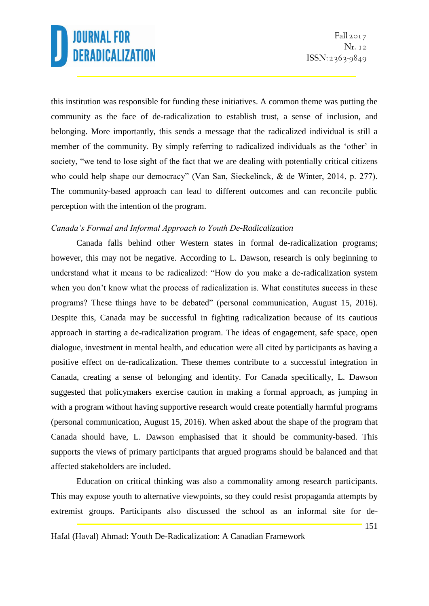this institution was responsible for funding these initiatives. A common theme was putting the community as the face of de-radicalization to establish trust, a sense of inclusion, and belonging. More importantly, this sends a message that the radicalized individual is still a member of the community. By simply referring to radicalized individuals as the 'other' in society, "we tend to lose sight of the fact that we are dealing with potentially critical citizens who could help shape our democracy" (Van San, Sieckelinck, & de Winter, 2014, p. 277). The community-based approach can lead to different outcomes and can reconcile public perception with the intention of the program.

### *Canada's Formal and Informal Approach to Youth De-Radicalization*

Canada falls behind other Western states in formal de-radicalization programs; however, this may not be negative. According to L. Dawson, research is only beginning to understand what it means to be radicalized: "How do you make a de-radicalization system when you don't know what the process of radicalization is. What constitutes success in these programs? These things have to be debated" (personal communication, August 15, 2016). Despite this, Canada may be successful in fighting radicalization because of its cautious approach in starting a de-radicalization program. The ideas of engagement, safe space, open dialogue, investment in mental health, and education were all cited by participants as having a positive effect on de-radicalization. These themes contribute to a successful integration in Canada, creating a sense of belonging and identity. For Canada specifically, L. Dawson suggested that policymakers exercise caution in making a formal approach, as jumping in with a program without having supportive research would create potentially harmful programs (personal communication, August 15, 2016). When asked about the shape of the program that Canada should have, L. Dawson emphasised that it should be community-based. This supports the views of primary participants that argued programs should be balanced and that affected stakeholders are included.

Education on critical thinking was also a commonality among research participants. This may expose youth to alternative viewpoints, so they could resist propaganda attempts by extremist groups. Participants also discussed the school as an informal site for de-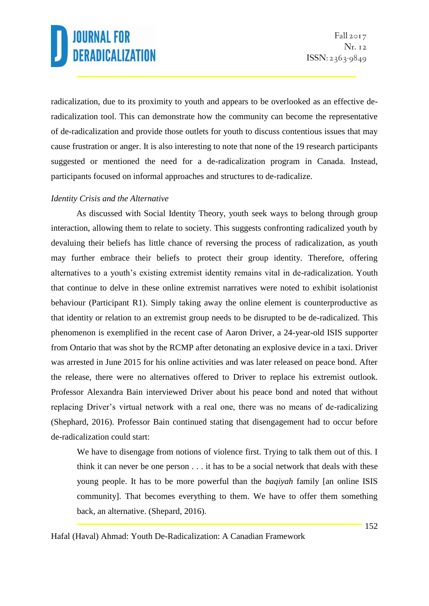radicalization, due to its proximity to youth and appears to be overlooked as an effective deradicalization tool. This can demonstrate how the community can become the representative of de-radicalization and provide those outlets for youth to discuss contentious issues that may cause frustration or anger. It is also interesting to note that none of the 19 research participants suggested or mentioned the need for a de-radicalization program in Canada. Instead, participants focused on informal approaches and structures to de-radicalize.

### *Identity Crisis and the Alternative*

As discussed with Social Identity Theory, youth seek ways to belong through group interaction, allowing them to relate to society. This suggests confronting radicalized youth by devaluing their beliefs has little chance of reversing the process of radicalization, as youth may further embrace their beliefs to protect their group identity. Therefore, offering alternatives to a youth's existing extremist identity remains vital in de-radicalization. Youth that continue to delve in these online extremist narratives were noted to exhibit isolationist behaviour (Participant R1). Simply taking away the online element is counterproductive as that identity or relation to an extremist group needs to be disrupted to be de-radicalized. This phenomenon is exemplified in the recent case of Aaron Driver, a 24-year-old ISIS supporter from Ontario that was shot by the RCMP after detonating an explosive device in a taxi. Driver was arrested in June 2015 for his online activities and was later released on peace bond. After the release, there were no alternatives offered to Driver to replace his extremist outlook. Professor Alexandra Bain interviewed Driver about his peace bond and noted that without replacing Driver's virtual network with a real one, there was no means of de-radicalizing (Shephard, 2016). Professor Bain continued stating that disengagement had to occur before de-radicalization could start:

We have to disengage from notions of violence first. Trying to talk them out of this. I think it can never be one person . . . it has to be a social network that deals with these young people. It has to be more powerful than the *baqiyah* family [an online ISIS community]. That becomes everything to them. We have to offer them something back, an alternative. (Shepard, 2016).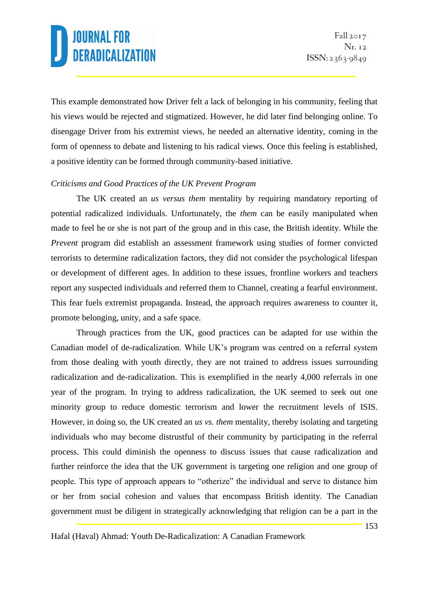This example demonstrated how Driver felt a lack of belonging in his community, feeling that his views would be rejected and stigmatized. However, he did later find belonging online. To disengage Driver from his extremist views, he needed an alternative identity, coming in the form of openness to debate and listening to his radical views. Once this feeling is established, a positive identity can be formed through community-based initiative.

## *Criticisms and Good Practices of the UK Prevent Program*

The UK created an *us versus them* mentality by requiring mandatory reporting of potential radicalized individuals. Unfortunately, the *them* can be easily manipulated when made to feel he or she is not part of the group and in this case, the British identity. While the *Prevent* program did establish an assessment framework using studies of former convicted terrorists to determine radicalization factors, they did not consider the psychological lifespan or development of different ages. In addition to these issues, frontline workers and teachers report any suspected individuals and referred them to Channel, creating a fearful environment. This fear fuels extremist propaganda. Instead, the approach requires awareness to counter it, promote belonging, unity, and a safe space.

Through practices from the UK, good practices can be adapted for use within the Canadian model of de-radicalization. While UK's program was centred on a referral system from those dealing with youth directly, they are not trained to address issues surrounding radicalization and de-radicalization. This is exemplified in the nearly 4,000 referrals in one year of the program. In trying to address radicalization, the UK seemed to seek out one minority group to reduce domestic terrorism and lower the recruitment levels of ISIS. However, in doing so, the UK created an *us vs. them* mentality, thereby isolating and targeting individuals who may become distrustful of their community by participating in the referral process. This could diminish the openness to discuss issues that cause radicalization and further reinforce the idea that the UK government is targeting one religion and one group of people. This type of approach appears to "otherize" the individual and serve to distance him or her from social cohesion and values that encompass British identity. The Canadian government must be diligent in strategically acknowledging that religion can be a part in the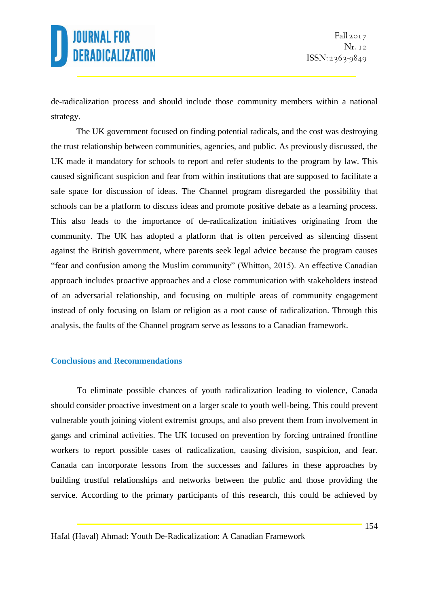

de-radicalization process and should include those community members within a national strategy.

The UK government focused on finding potential radicals, and the cost was destroying the trust relationship between communities, agencies, and public. As previously discussed, the UK made it mandatory for schools to report and refer students to the program by law. This caused significant suspicion and fear from within institutions that are supposed to facilitate a safe space for discussion of ideas. The Channel program disregarded the possibility that schools can be a platform to discuss ideas and promote positive debate as a learning process. This also leads to the importance of de-radicalization initiatives originating from the community. The UK has adopted a platform that is often perceived as silencing dissent against the British government, where parents seek legal advice because the program causes "fear and confusion among the Muslim community" (Whitton, 2015). An effective Canadian approach includes proactive approaches and a close communication with stakeholders instead of an adversarial relationship, and focusing on multiple areas of community engagement instead of only focusing on Islam or religion as a root cause of radicalization. Through this analysis, the faults of the Channel program serve as lessons to a Canadian framework.

#### **Conclusions and Recommendations**

To eliminate possible chances of youth radicalization leading to violence, Canada should consider proactive investment on a larger scale to youth well-being. This could prevent vulnerable youth joining violent extremist groups, and also prevent them from involvement in gangs and criminal activities. The UK focused on prevention by forcing untrained frontline workers to report possible cases of radicalization, causing division, suspicion, and fear. Canada can incorporate lessons from the successes and failures in these approaches by building trustful relationships and networks between the public and those providing the service. According to the primary participants of this research, this could be achieved by

Hafal (Haval) Ahmad: Youth De-Radicalization: A Canadian Framework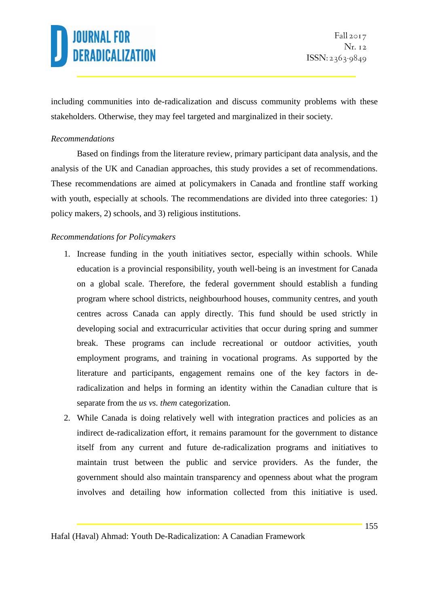including communities into de-radicalization and discuss community problems with these stakeholders. Otherwise, they may feel targeted and marginalized in their society.

### *Recommendations*

Based on findings from the literature review, primary participant data analysis, and the analysis of the UK and Canadian approaches, this study provides a set of recommendations. These recommendations are aimed at policymakers in Canada and frontline staff working with youth, especially at schools. The recommendations are divided into three categories: 1) policy makers, 2) schools, and 3) religious institutions.

## *Recommendations for Policymakers*

- 1. Increase funding in the youth initiatives sector, especially within schools. While education is a provincial responsibility, youth well-being is an investment for Canada on a global scale. Therefore, the federal government should establish a funding program where school districts, neighbourhood houses, community centres, and youth centres across Canada can apply directly. This fund should be used strictly in developing social and extracurricular activities that occur during spring and summer break. These programs can include recreational or outdoor activities, youth employment programs, and training in vocational programs. As supported by the literature and participants, engagement remains one of the key factors in deradicalization and helps in forming an identity within the Canadian culture that is separate from the *us vs. them* categorization.
- 2. While Canada is doing relatively well with integration practices and policies as an indirect de-radicalization effort, it remains paramount for the government to distance itself from any current and future de-radicalization programs and initiatives to maintain trust between the public and service providers. As the funder, the government should also maintain transparency and openness about what the program involves and detailing how information collected from this initiative is used.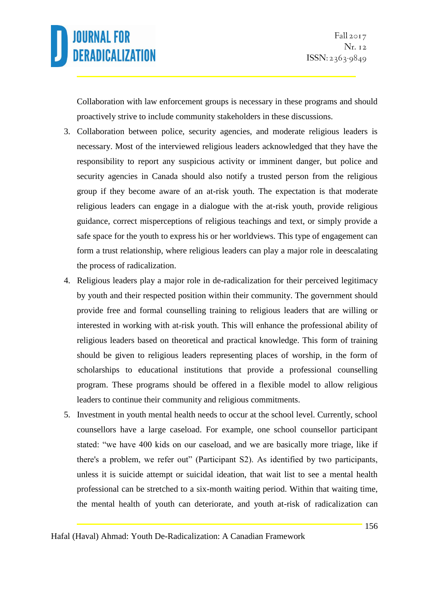

Collaboration with law enforcement groups is necessary in these programs and should proactively strive to include community stakeholders in these discussions.

- 3. Collaboration between police, security agencies, and moderate religious leaders is necessary. Most of the interviewed religious leaders acknowledged that they have the responsibility to report any suspicious activity or imminent danger, but police and security agencies in Canada should also notify a trusted person from the religious group if they become aware of an at-risk youth. The expectation is that moderate religious leaders can engage in a dialogue with the at-risk youth, provide religious guidance, correct misperceptions of religious teachings and text, or simply provide a safe space for the youth to express his or her worldviews. This type of engagement can form a trust relationship, where religious leaders can play a major role in deescalating the process of radicalization.
- 4. Religious leaders play a major role in de-radicalization for their perceived legitimacy by youth and their respected position within their community. The government should provide free and formal counselling training to religious leaders that are willing or interested in working with at-risk youth. This will enhance the professional ability of religious leaders based on theoretical and practical knowledge. This form of training should be given to religious leaders representing places of worship, in the form of scholarships to educational institutions that provide a professional counselling program. These programs should be offered in a flexible model to allow religious leaders to continue their community and religious commitments.
- 5. Investment in youth mental health needs to occur at the school level. Currently, school counsellors have a large caseload. For example, one school counsellor participant stated: "we have 400 kids on our caseload, and we are basically more triage, like if there's a problem, we refer out" (Participant S2). As identified by two participants, unless it is suicide attempt or suicidal ideation, that wait list to see a mental health professional can be stretched to a six-month waiting period. Within that waiting time, the mental health of youth can deteriorate, and youth at-risk of radicalization can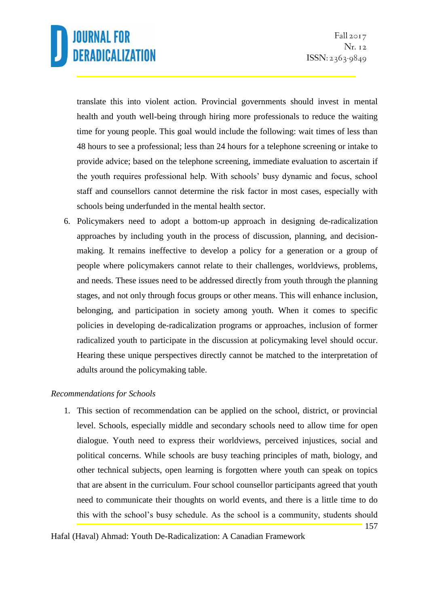translate this into violent action. Provincial governments should invest in mental health and youth well-being through hiring more professionals to reduce the waiting time for young people. This goal would include the following: wait times of less than 48 hours to see a professional; less than 24 hours for a telephone screening or intake to provide advice; based on the telephone screening, immediate evaluation to ascertain if the youth requires professional help. With schools' busy dynamic and focus, school staff and counsellors cannot determine the risk factor in most cases, especially with schools being underfunded in the mental health sector.

6. Policymakers need to adopt a bottom-up approach in designing de-radicalization approaches by including youth in the process of discussion, planning, and decisionmaking. It remains ineffective to develop a policy for a generation or a group of people where policymakers cannot relate to their challenges, worldviews, problems, and needs. These issues need to be addressed directly from youth through the planning stages, and not only through focus groups or other means. This will enhance inclusion, belonging, and participation in society among youth. When it comes to specific policies in developing de-radicalization programs or approaches, inclusion of former radicalized youth to participate in the discussion at policymaking level should occur. Hearing these unique perspectives directly cannot be matched to the interpretation of adults around the policymaking table.

### *Recommendations for Schools*

1. This section of recommendation can be applied on the school, district, or provincial level. Schools, especially middle and secondary schools need to allow time for open dialogue. Youth need to express their worldviews, perceived injustices, social and political concerns. While schools are busy teaching principles of math, biology, and other technical subjects, open learning is forgotten where youth can speak on topics that are absent in the curriculum. Four school counsellor participants agreed that youth need to communicate their thoughts on world events, and there is a little time to do this with the school's busy schedule. As the school is a community, students should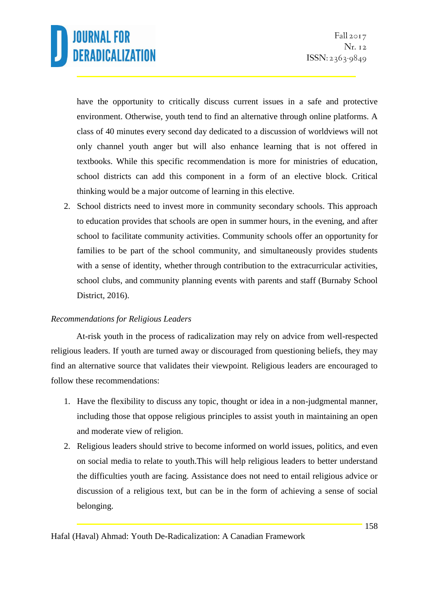have the opportunity to critically discuss current issues in a safe and protective environment. Otherwise, youth tend to find an alternative through online platforms. A class of 40 minutes every second day dedicated to a discussion of worldviews will not only channel youth anger but will also enhance learning that is not offered in textbooks. While this specific recommendation is more for ministries of education, school districts can add this component in a form of an elective block. Critical thinking would be a major outcome of learning in this elective.

2. School districts need to invest more in community secondary schools. This approach to education provides that schools are open in summer hours, in the evening, and after school to facilitate community activities. Community schools offer an opportunity for families to be part of the school community, and simultaneously provides students with a sense of identity, whether through contribution to the extracurricular activities, school clubs, and community planning events with parents and staff (Burnaby School District, 2016).

### *Recommendations for Religious Leaders*

At-risk youth in the process of radicalization may rely on advice from well-respected religious leaders. If youth are turned away or discouraged from questioning beliefs, they may find an alternative source that validates their viewpoint. Religious leaders are encouraged to follow these recommendations:

- 1. Have the flexibility to discuss any topic, thought or idea in a non-judgmental manner, including those that oppose religious principles to assist youth in maintaining an open and moderate view of religion.
- 2. Religious leaders should strive to become informed on world issues, politics, and even on social media to relate to youth.This will help religious leaders to better understand the difficulties youth are facing. Assistance does not need to entail religious advice or discussion of a religious text, but can be in the form of achieving a sense of social belonging.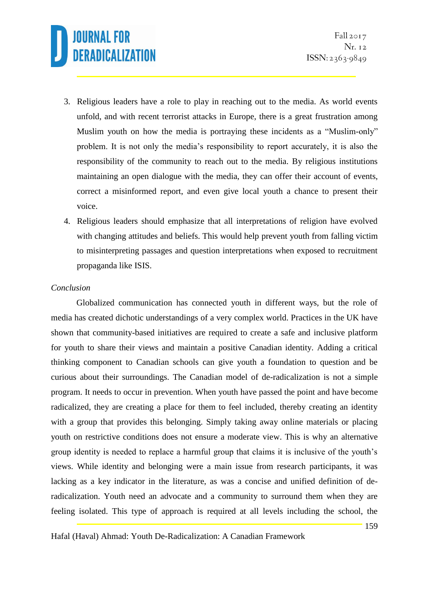- 3. Religious leaders have a role to play in reaching out to the media. As world events unfold, and with recent terrorist attacks in Europe, there is a great frustration among Muslim youth on how the media is portraying these incidents as a "Muslim-only" problem. It is not only the media's responsibility to report accurately, it is also the responsibility of the community to reach out to the media. By religious institutions maintaining an open dialogue with the media, they can offer their account of events, correct a misinformed report, and even give local youth a chance to present their voice.
- 4. Religious leaders should emphasize that all interpretations of religion have evolved with changing attitudes and beliefs. This would help prevent youth from falling victim to misinterpreting passages and question interpretations when exposed to recruitment propaganda like ISIS.

### *Conclusion*

Globalized communication has connected youth in different ways, but the role of media has created dichotic understandings of a very complex world. Practices in the UK have shown that community-based initiatives are required to create a safe and inclusive platform for youth to share their views and maintain a positive Canadian identity. Adding a critical thinking component to Canadian schools can give youth a foundation to question and be curious about their surroundings. The Canadian model of de-radicalization is not a simple program. It needs to occur in prevention. When youth have passed the point and have become radicalized, they are creating a place for them to feel included, thereby creating an identity with a group that provides this belonging. Simply taking away online materials or placing youth on restrictive conditions does not ensure a moderate view. This is why an alternative group identity is needed to replace a harmful group that claims it is inclusive of the youth's views. While identity and belonging were a main issue from research participants, it was lacking as a key indicator in the literature, as was a concise and unified definition of deradicalization. Youth need an advocate and a community to surround them when they are feeling isolated. This type of approach is required at all levels including the school, the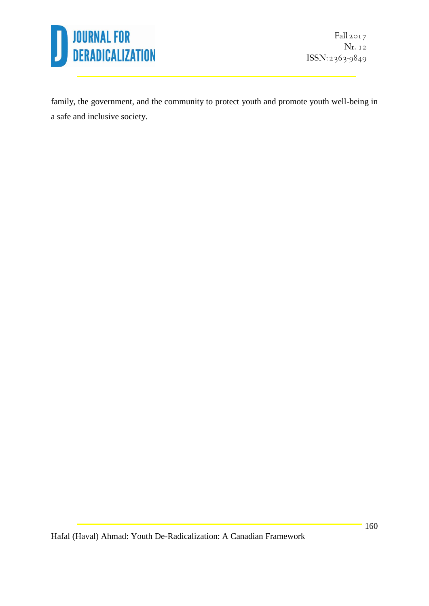

family, the government, and the community to protect youth and promote youth well-being in a safe and inclusive society.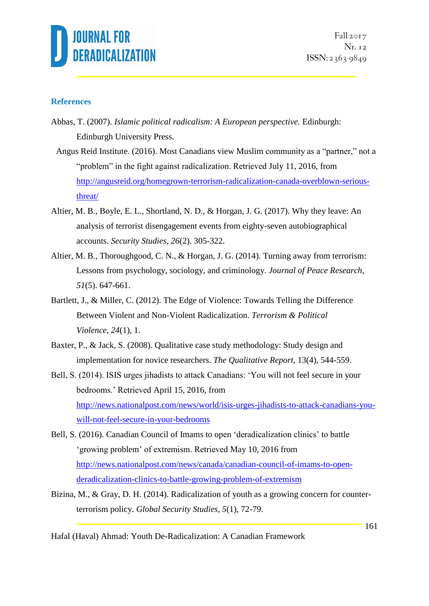

Fall 2017 Nr. 12  $ISSN: 2363-9849$ 

#### **References**

- Abbas, T. (2007). *Islamic political radicalism: A European perspective.* Edinburgh: Edinburgh University Press.
- Angus Reid Institute. (2016). Most Canadians view Muslim community as a "partner," not a "problem" in the fight against radicalization. Retrieved July 11, 2016, from [http://angusreid.org/homegrown-terrorism-radicalization-canada-overblown-serious](http://angusreid.org/homegrown-terrorism-radicalization-canada-overblown-serious-threat/)[threat/](http://angusreid.org/homegrown-terrorism-radicalization-canada-overblown-serious-threat/)
- Altier, M. B., Boyle, E. L., Shortland, N. D., & Horgan, J. G. (2017). Why they leave: An analysis of terrorist disengagement events from eighty-seven autobiographical accounts. *Security Studies, 26*(2). 305-322.
- Altier, M. B., Thoroughgood, C. N., & Horgan, J. G. (2014). Turning away from terrorism: Lessons from psychology, sociology, and criminology. *Journal of Peace Research, 51*(5). 647-661.
- Bartlett, J., & Miller, C. (2012). The Edge of Violence: Towards Telling the Difference Between Violent and Non-Violent Radicalization. *Terrorism & Political Violence*, *24*(1), 1.
- Baxter, P., & Jack, S. (2008). Qualitative case study methodology: Study design and implementation for novice researchers. *The Qualitative Report,* 13(4), 544-559.
- Bell, S. (2014). ISIS urges jihadists to attack Canadians: 'You will not feel secure in your bedrooms.' Retrieved April 15, 2016, from [http://news.nationalpost.com/news/world/isis-urges-jihadists-to-attack-canadians-you](http://news.nationalpost.com/news/world/isis-urges-jihadists-to-attack-canadians-you-will-not-feel-secure-in-your-bedrooms)[will-not-feel-secure-in-your-bedrooms](http://news.nationalpost.com/news/world/isis-urges-jihadists-to-attack-canadians-you-will-not-feel-secure-in-your-bedrooms)
- Bell, S. (2016). Canadian Council of Imams to open 'deradicalization clinics' to battle 'growing problem' of extremism. Retrieved May 10, 2016 from [http://news.nationalpost.com/news/canada/canadian-council-of-imams-to-open](http://news.nationalpost.com/news/canada/canadian-council-of-imams-to-open-deradicalization-clinics-to-battle-growing-problem-of-extremism)[deradicalization-clinics-to-battle-growing-problem-of-extremism](http://news.nationalpost.com/news/canada/canadian-council-of-imams-to-open-deradicalization-clinics-to-battle-growing-problem-of-extremism)
- Bizina, M., & Gray, D. H. (2014). Radicalization of youth as a growing concern for counterterrorism policy. *Global Security Studies, 5*(1), 72-79.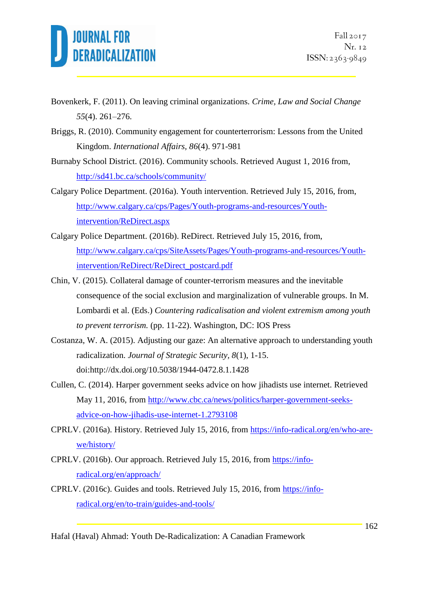

- Bovenkerk, F. (2011). On leaving criminal organizations. *Crime, Law and Social Change 55*(4). 261–276.
- Briggs, R. (2010). Community engagement for counterterrorism: Lessons from the United Kingdom. *International Affairs, 86*(4). 971-981
- Burnaby School District. (2016). Community schools. Retrieved August 1, 2016 from, <http://sd41.bc.ca/schools/community/>
- Calgary Police Department. (2016a). Youth intervention. Retrieved July 15, 2016, from, [http://www.calgary.ca/cps/Pages/Youth-programs-and-resources/Youth](http://www.calgary.ca/cps/Pages/Youth-programs-and-resources/Youth-intervention/ReDirect.aspx)[intervention/ReDirect.aspx](http://www.calgary.ca/cps/Pages/Youth-programs-and-resources/Youth-intervention/ReDirect.aspx)
- Calgary Police Department. (2016b). ReDirect. Retrieved July 15, 2016, from, [http://www.calgary.ca/cps/SiteAssets/Pages/Youth-programs-and-resources/Youth](http://www.calgary.ca/cps/SiteAssets/Pages/Youth-programs-and-resources/Youth-intervention/ReDirect/ReDirect_postcard.pdf)[intervention/ReDirect/ReDirect\\_postcard.pdf](http://www.calgary.ca/cps/SiteAssets/Pages/Youth-programs-and-resources/Youth-intervention/ReDirect/ReDirect_postcard.pdf)
- Chin, V. (2015). Collateral damage of counter-terrorism measures and the inevitable consequence of the social exclusion and marginalization of vulnerable groups. In M. Lombardi et al. (Eds.) *Countering radicalisation and violent extremism among youth to prevent terrorism.* (pp. 11-22). Washington, DC: IOS Press
- Costanza, W. A. (2015). Adjusting our gaze: An alternative approach to understanding youth radicalization. *Journal of Strategic Security, 8*(1), 1-15. doi[:http://dx.doi.org/10.5038/1944-0472.8.1.1428](http://dx.doi.org/10.5038/1944-0472.8.1.1428)
- Cullen, C. (2014). Harper government seeks advice on how jihadists use internet. Retrieved May 11, 2016, from [http://www.cbc.ca/news/politics/harper-government-seeks](http://www.cbc.ca/news/politics/harper-government-seeks-advice-on-how-jihadis-use-internet-1.2793108)[advice-on-how-jihadis-use-internet-1.2793108](http://www.cbc.ca/news/politics/harper-government-seeks-advice-on-how-jihadis-use-internet-1.2793108)
- CPRLV. (2016a). History. Retrieved July 15, 2016, from [https://info-radical.org/en/who-are](https://info-radical.org/en/who-are-we/history/)[we/history/](https://info-radical.org/en/who-are-we/history/)
- CPRLV. (2016b). Our approach. Retrieved July 15, 2016, from [https://info](https://info-radical.org/en/approach/)[radical.org/en/approach/](https://info-radical.org/en/approach/)
- CPRLV. (2016c). Guides and tools. Retrieved July 15, 2016, from [https://info](https://info-radical.org/en/to-train/guides-and-tools/)[radical.org/en/to-train/guides-and-tools/](https://info-radical.org/en/to-train/guides-and-tools/)
- Hafal (Haval) Ahmad: Youth De-Radicalization: A Canadian Framework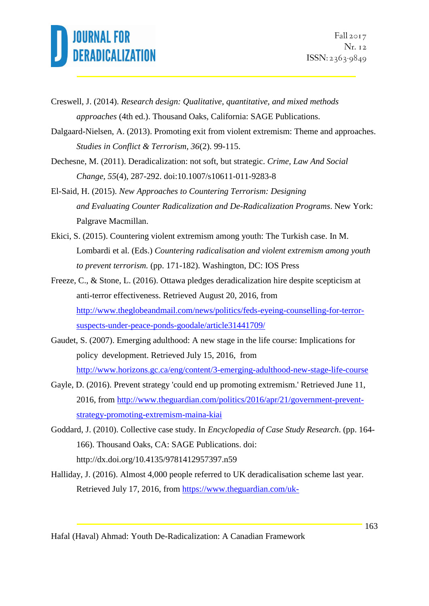Creswell, J. (2014). *Research design: Qualitative, quantitative, and mixed methods approaches* (4th ed.). Thousand Oaks, California: SAGE Publications.

Dalgaard-Nielsen, A. (2013). Promoting exit from violent extremism: Theme and approaches. *Studies in Conflict & Terrorism, 36*(2). 99-115.

Dechesne, M. (2011). Deradicalization: not soft, but strategic. *Crime, Law And Social Change*, *55*(4), 287-292. doi:10.1007/s10611-011-9283-8

El-Said, H. (2015). *New Approaches to Countering Terrorism: Designing and Evaluating Counter Radicalization and De-Radicalization Programs*. New York: Palgrave Macmillan.

Ekici, S. (2015). Countering violent extremism among youth: The Turkish case. In M. Lombardi et al. (Eds.) *Countering radicalisation and violent extremism among youth to prevent terrorism.* (pp. 171-182). Washington, DC: IOS Press

Freeze, C., & Stone, L. (2016). Ottawa pledges deradicalization hire despite scepticism at anti-terror effectiveness. Retrieved August 20, 2016, from [http://www.theglobeandmail.com/news/politics/feds-eyeing-counselling-for-terror](http://www.theglobeandmail.com/news/politics/feds-eyeing-counselling-for-terror-suspects-under-peace-ponds-goodale/article31441709/)[suspects-under-peace-ponds-goodale/article31441709/](http://www.theglobeandmail.com/news/politics/feds-eyeing-counselling-for-terror-suspects-under-peace-ponds-goodale/article31441709/)

Gaudet, S. (2007). Emerging adulthood: A new stage in the life course: Implications for policy development. Retrieved July 15, 2016, from <http://www.horizons.gc.ca/eng/content/3-emerging-adulthood-new-stage-life-course>

Gayle, D. (2016). Prevent strategy 'could end up promoting extremism.' Retrieved June 11, 2016, from [http://www.theguardian.com/politics/2016/apr/21/government-prevent](http://www.theguardian.com/politics/2016/apr/21/government-prevent-strategy-promoting-extremism-maina-kiai)[strategy-promoting-extremism-maina-kiai](http://www.theguardian.com/politics/2016/apr/21/government-prevent-strategy-promoting-extremism-maina-kiai) 

Goddard, J. (2010). Collective case study. In *Encyclopedia of Case Study Research*. (pp. 164- 166). Thousand Oaks, CA: SAGE Publications. doi[:](http://dx.doi.org/10.4135/9781412957397.n59) <http://dx.doi.org/10.4135/9781412957397.n59>

Halliday, J. (2016). Almost 4,000 people referred to UK deradicalisation scheme last year*.* Retrieved July 17, 2016, from [https://www.theguardian.com/uk-](https://www.theguardian.com/uk-news/2016/mar/20/almost-4000-people-were-referred-to-uk-deradicalisation-scheme-channel-last-year)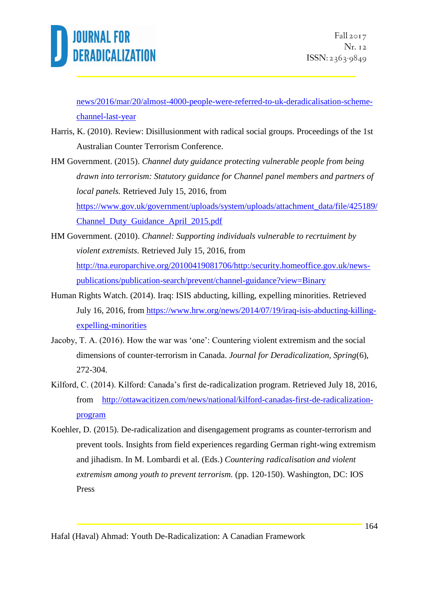

[news/2016/mar/20/almost-4000-people-were-referred-to-uk-deradicalisation-scheme](https://www.theguardian.com/uk-news/2016/mar/20/almost-4000-people-were-referred-to-uk-deradicalisation-scheme-channel-last-year)[channel-last-year](https://www.theguardian.com/uk-news/2016/mar/20/almost-4000-people-were-referred-to-uk-deradicalisation-scheme-channel-last-year)

- Harris, K. (2010). Review: Disillusionment with radical social groups. Proceedings of the 1st Australian Counter Terrorism Conference.
- HM Government. (2015). *Channel duty guidance protecting vulnerable people from being drawn into terrorism: Statutory guidance for Channel panel members and partners of local panels.* Retrieved July 15, 2016, from [https://www.gov.uk/government/uploads/system/uploads/attachment\\_data/file/425189/](https://www.gov.uk/government/uploads/system/uploads/attachment_data/file/425189/Channel_Duty_Guidance_April_2015.pdf) [Channel\\_Duty\\_Guidance\\_April\\_2015.pdf](https://www.gov.uk/government/uploads/system/uploads/attachment_data/file/425189/Channel_Duty_Guidance_April_2015.pdf)
- HM Government. (2010). *Channel: Supporting individuals vulnerable to recrtuiment by violent extremists.* Retrieved July 15, 2016, from [http://tna.europarchive.org/20100419081706/http:/security.homeoffice.gov.uk/news](http://tna.europarchive.org/20100419081706/http:/security.homeoffice.gov.uk/news-publications/publication-search/prevent/channel-guidance?view=Binary)[publications/publication-search/prevent/channel-guidance?view=Binary](http://tna.europarchive.org/20100419081706/http:/security.homeoffice.gov.uk/news-publications/publication-search/prevent/channel-guidance?view=Binary)
- Human Rights Watch. (2014). Iraq: ISIS abducting, killing, expelling minorities. Retrieved July 16, 2016, from [https://www.hrw.org/news/2014/07/19/iraq-isis-abducting-killing](https://www.hrw.org/news/2014/07/19/iraq-isis-abducting-killing-expelling-minorities)[expelling-minorities](https://www.hrw.org/news/2014/07/19/iraq-isis-abducting-killing-expelling-minorities)
- Jacoby, T. A. (2016). How the war was 'one': Countering violent extremism and the social dimensions of counter-terrorism in Canada. *Journal for Deradicalization, Spring*(6), 272-304.
- Kilford, C. (2014). Kilford: Canada's first de-radicalization program. Retrieved July 18, 2016, from [http://ottawacitizen.com/news/national/kilford-canadas-first-de-radicalization](http://ottawacitizen.com/news/national/kilford-canadas-first-de-radicalization-program)[program](http://ottawacitizen.com/news/national/kilford-canadas-first-de-radicalization-program)
- Koehler, D. (2015). De-radicalization and disengagement programs as counter-terrorism and prevent tools. Insights from field experiences regarding German right-wing extremism and jihadism. In M. Lombardi et al. (Eds.) *Countering radicalisation and violent extremism among youth to prevent terrorism.* (pp. 120-150). Washington, DC: IOS Press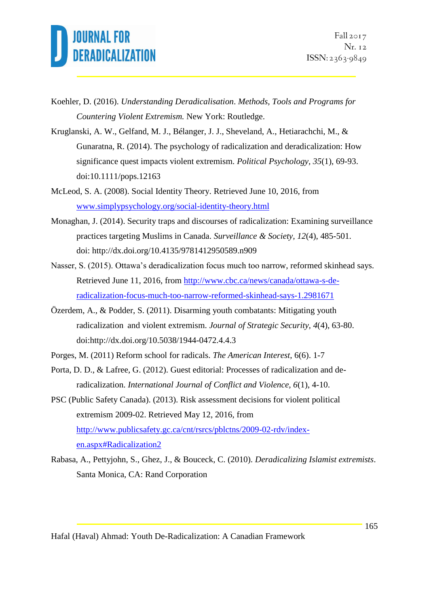

- Koehler, D. (2016). *Understanding Deradicalisation*. *Methods, Tools and Programs for Countering Violent Extremism.* New York: Routledge.
- Kruglanski, A. W., Gelfand, M. J., Bélanger, J. J., Sheveland, A., Hetiarachchi, M., & Gunaratna, R. (2014). The psychology of radicalization and deradicalization: How significance quest impacts violent extremism. *Political Psychology, 35*(1), 69-93. doi:10.1111/pops.12163
- McLeod, S. A. (2008). Social Identity Theory. Retrieved June 10, 2016, from [www.simplypsychology.org/social-identity-theory.html](http://www.simplypsychology.org/social-identity-theory.html)
- Monaghan, J. (2014). Security traps and discourses of radicalization: Examining surveillance practices targeting Muslims in Canada. *Surveillance & Society, 12*(4), 485-501. doi: http://dx.doi.org/10.4135/9781412950589.n909
- Nasser, S. (2015). Ottawa's deradicalization focus much too narrow, reformed skinhead says. Retrieved June 11, 2016, from [http://www.cbc.ca/news/canada/ottawa-s-de](http://www.cbc.ca/news/canada/ottawa-s-de-radicalization-focus-much-too-narrow-reformed-skinhead-says-1.2981671)[radicalization-focus-much-too-narrow-reformed-skinhead-says-1.2981671](http://www.cbc.ca/news/canada/ottawa-s-de-radicalization-focus-much-too-narrow-reformed-skinhead-says-1.2981671)
- Özerdem, A., & Podder, S. (2011). Disarming youth combatants: Mitigating youth radicalization and violent extremism. *Journal of Strategic Security, 4*(4), 63-80. doi:http://dx.doi.org/10.5038/1944-0472.4.4.3
- Porges, M. (2011) Reform school for radicals. *The American Interest*, 6(6). 1-7
- Porta, D. D., & Lafree, G. (2012). Guest editorial: Processes of radicalization and deradicalization. *International Journal of Conflict and Violence, 6*(1), 4-10.
- PSC (Public Safety Canada). (2013). Risk assessment decisions for violent political extremism 2009-02. Retrieved May 12, 2016, from [http://www.publicsafety.gc.ca/cnt/rsrcs/pblctns/2009-02-rdv/index](http://www.publicsafety.gc.ca/cnt/rsrcs/pblctns/2009-02-rdv/index-en.aspx#Radicalization2)[en.aspx#Radicalization2](http://www.publicsafety.gc.ca/cnt/rsrcs/pblctns/2009-02-rdv/index-en.aspx#Radicalization2)
- Rabasa, A., Pettyjohn, S., Ghez, J., & Bouceck, C. (2010). *Deradicalizing Islamist extremists*. Santa Monica, CA: Rand Corporation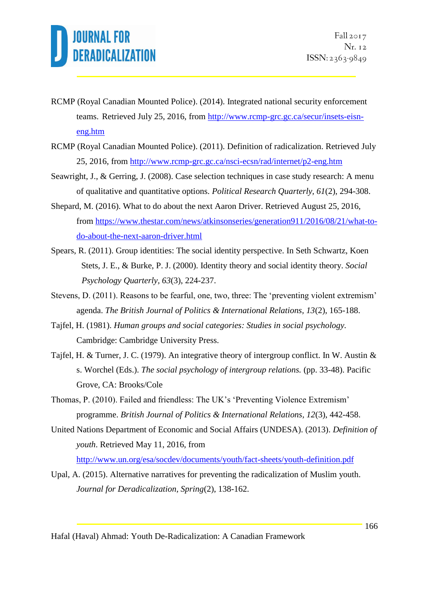- RCMP (Royal Canadian Mounted Police). (2014). Integrated national security enforcement teams. Retrieved July 25, 2016, from [http://www.rcmp-grc.gc.ca/secur/insets-eisn](http://www.rcmp-grc.gc.ca/secur/insets-eisn-eng.htm)[eng.htm](http://www.rcmp-grc.gc.ca/secur/insets-eisn-eng.htm)
- RCMP (Royal Canadian Mounted Police). (2011). Definition of radicalization. Retrieved July 25, 2016, from<http://www.rcmp-grc.gc.ca/nsci-ecsn/rad/internet/p2-eng.htm>
- Seawright, J., & Gerring, J. (2008). Case selection techniques in case study research: A menu of qualitative and quantitative options. *Political Research Quarterly, 61*(2), 294-308.
- Shepard, M. (2016). What to do about the next Aaron Driver. Retrieved August 25, 2016, from [https://www.thestar.com/news/atkinsonseries/generation911/2016/08/21/what-to](https://www.thestar.com/news/atkinsonseries/generation911/2016/08/21/what-to-do-about-the-next-aaron-driver.html)[do-about-the-next-aaron-driver.html](https://www.thestar.com/news/atkinsonseries/generation911/2016/08/21/what-to-do-about-the-next-aaron-driver.html)
- Spears, R. (2011). Group identities: The social identity perspective. In Seth Schwartz, Koen Stets, J. E., & Burke, P. J. (2000). Identity theory and social identity theory. *Social Psychology Quarterly, 63*(3), 224-237.
- Stevens, D. (2011). Reasons to be fearful, one, two, three: The 'preventing violent extremism' agenda. *The British Journal of Politics & International Relations, 13*(2), 165-188.
- Tajfel, H. (1981). *Human groups and social categories: Studies in social psychology.* Cambridge: Cambridge University Press.
- Tajfel, H. & Turner, J. C. (1979). An integrative theory of intergroup conflict. In W. Austin & s. Worchel (Eds.). *The social psychology of intergroup relations.* (pp. 33-48). Pacific Grove, CA: Brooks/Cole
- Thomas, P. (2010). Failed and friendless: The UK's 'Preventing Violence Extremism' programme. *British Journal of Politics & International Relations, 12*(3), 442-458.
- United Nations Department of Economic and Social Affairs (UNDESA). (2013). *Definition of youth*. Retrieved May 11, 2016, from

<http://www.un.org/esa/socdev/documents/youth/fact-sheets/youth-definition.pdf>

Upal, A. (2015). Alternative narratives for preventing the radicalization of Muslim youth. *Journal for Deradicalization, Spring*(2), 138-162.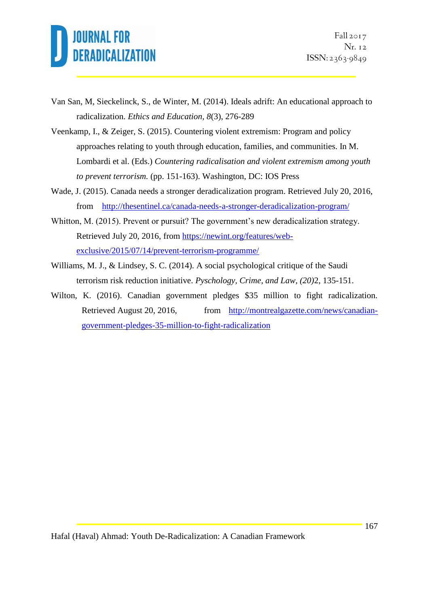

- Van San, M, Sieckelinck, S., de Winter, M. (2014). Ideals adrift: An educational approach to radicalization. *Ethics and Education, 8*(3), 276-289
- Veenkamp, I., & Zeiger, S. (2015). Countering violent extremism: Program and policy approaches relating to youth through education, families, and communities. In M. Lombardi et al. (Eds.) *Countering radicalisation and violent extremism among youth to prevent terrorism.* (pp. 151-163). Washington, DC: IOS Press
- Wade, J. (2015). Canada needs a stronger deradicalization program. Retrieved July 20, 2016, from <http://thesentinel.ca/canada-needs-a-stronger-deradicalization-program/>
- Whitton, M. (2015). Prevent or pursuit? The government's new deradicalization strategy. Retrieved July 20, 2016, from [https://newint.org/features/web](https://newint.org/features/web-exclusive/2015/07/14/prevent-terrorism-programme/)[exclusive/2015/07/14/prevent-terrorism-programme/](https://newint.org/features/web-exclusive/2015/07/14/prevent-terrorism-programme/)
- Williams, M. J., & Lindsey, S. C. (2014). A social psychological critique of the Saudi terrorism risk reduction initiative. *Pyschology, Crime, and Law, (20)*2, 135-151.
- Wilton, K. (2016). Canadian government pledges \$35 million to fight radicalization. Retrieved August 20, 2016, from [http://montrealgazette.com/news/canadian](http://montrealgazette.com/news/canadian-government-pledges-35-million-to-fight-radicalization)[government-pledges-35-million-to-fight-radicalization](http://montrealgazette.com/news/canadian-government-pledges-35-million-to-fight-radicalization)